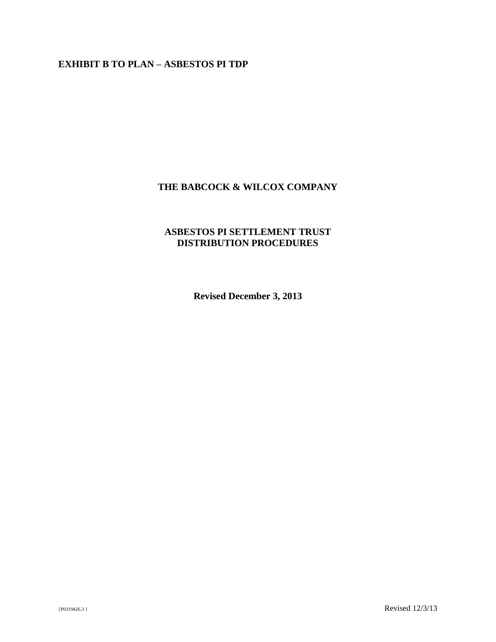# **EXHIBIT B TO PLAN – ASBESTOS PI TDP**

# **THE BABCOCK & WILCOX COMPANY**

# **ASBESTOS PI SETTLEMENT TRUST DISTRIBUTION PROCEDURES**

**Revised December 3, 2013**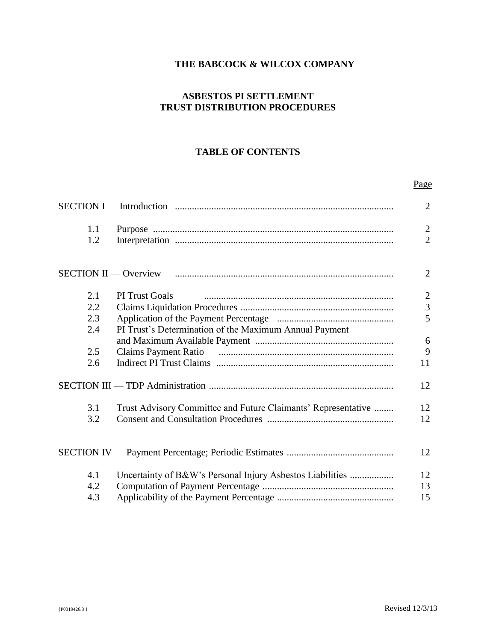# **THE BABCOCK & WILCOX COMPANY**

# **ASBESTOS PI SETTLEMENT TRUST DISTRIBUTION PROCEDURES**

# **TABLE OF CONTENTS**

# SECTION I — Introduction .......................................................................................... 2 1.1 Purpose ................................................................................................... 2 1.2 Interpretation .......................................................................................... 2 SECTION II — Overview .......................................................................................... 2 2.1 PI Trust Goals .............................................................................. 2 2.2 Claims Liquidation Procedures ............................................................... 3 2.3 Application of the Payment Percentage ................................................ 5 2.4 PI Trust's Determination of the Maximum Annual Payment and Maximum Available Payment ......................................................... 6 2.5 Claims Payment Ratio ........................................................................ 9 2.6 Indirect PI Trust Claims ......................................................................... 11 SECTION III — TDP Administration ............................................................................ 12 3.1 Trust Advisory Committee and Future Claimants' Representative ........ 12 3.2 Consent and Consultation Procedures .................................................... 12 SECTION IV — Payment Percentage; Periodic Estimates ............................................ 12 4.1 Uncertainty of B&W's Personal Injury Asbestos Liabilities .................. 12 4.2 Computation of Payment Percentage ...................................................... 13 4.3 Applicability of the Payment Percentage ................................................ 15

Page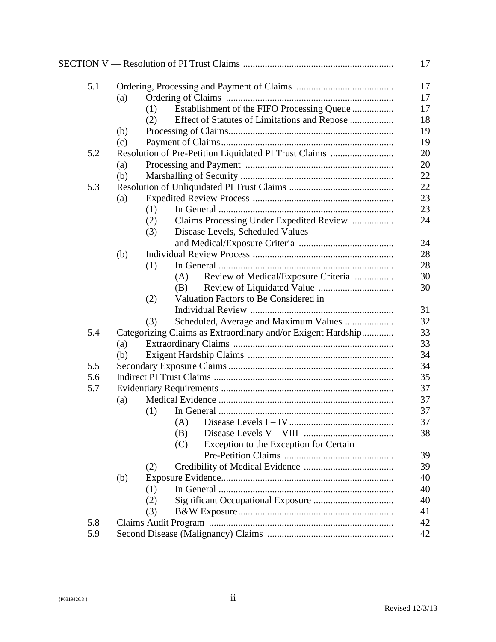|     |     |                                                              |     |                                              | 17       |  |  |
|-----|-----|--------------------------------------------------------------|-----|----------------------------------------------|----------|--|--|
| 5.1 |     |                                                              |     |                                              | 17       |  |  |
|     | (a) |                                                              |     |                                              |          |  |  |
|     |     | (1)                                                          |     | Establishment of the FIFO Processing Queue   | 17       |  |  |
|     |     | (2)                                                          |     | Effect of Statutes of Limitations and Repose | 18       |  |  |
|     | (b) |                                                              |     |                                              | 19       |  |  |
|     | (c) |                                                              |     |                                              | 19       |  |  |
| 5.2 |     |                                                              |     |                                              |          |  |  |
|     | (a) |                                                              |     |                                              |          |  |  |
|     | (b) |                                                              |     |                                              | 22       |  |  |
| 5.3 |     |                                                              |     |                                              | 22       |  |  |
|     | (a) |                                                              |     |                                              |          |  |  |
|     |     | (1)                                                          |     |                                              | 23       |  |  |
|     |     | (2)                                                          |     | Claims Processing Under Expedited Review     | 24       |  |  |
|     |     | (3)                                                          |     | Disease Levels, Scheduled Values             |          |  |  |
|     |     |                                                              |     |                                              | 24       |  |  |
|     | (b) |                                                              |     |                                              | 28       |  |  |
|     |     | (1)                                                          |     |                                              | 28       |  |  |
|     |     |                                                              | (A) | Review of Medical/Exposure Criteria          | 30       |  |  |
|     |     |                                                              | (B) |                                              | 30       |  |  |
|     |     | (2)                                                          |     | Valuation Factors to Be Considered in        |          |  |  |
|     |     |                                                              |     |                                              | 31       |  |  |
|     |     | (3)                                                          |     | Scheduled, Average and Maximum Values        | 32<br>33 |  |  |
| 5.4 |     | Categorizing Claims as Extraordinary and/or Exigent Hardship |     |                                              |          |  |  |
|     | (a) |                                                              |     |                                              |          |  |  |
|     | (b) |                                                              |     |                                              | 34       |  |  |
| 5.5 |     |                                                              |     |                                              | 34       |  |  |
| 5.6 |     |                                                              |     |                                              | 35       |  |  |
| 5.7 |     |                                                              |     |                                              | 37       |  |  |
|     | (a) |                                                              |     |                                              | 37       |  |  |
|     |     | (1)                                                          |     |                                              | 37       |  |  |
|     |     |                                                              |     |                                              | 37       |  |  |
|     |     |                                                              | (B) |                                              | 38       |  |  |
|     |     |                                                              | (C) | Exception to the Exception for Certain       |          |  |  |
|     |     |                                                              |     |                                              | 39       |  |  |
|     |     | (2)                                                          |     |                                              | 39       |  |  |
|     | (b) |                                                              |     |                                              | 40       |  |  |
|     |     | (1)                                                          |     |                                              | 40       |  |  |
|     |     | (2)                                                          |     |                                              | 40       |  |  |
|     |     | (3)                                                          |     |                                              | 41       |  |  |
| 5.8 |     |                                                              |     |                                              | 42       |  |  |
| 5.9 |     |                                                              |     |                                              | 42       |  |  |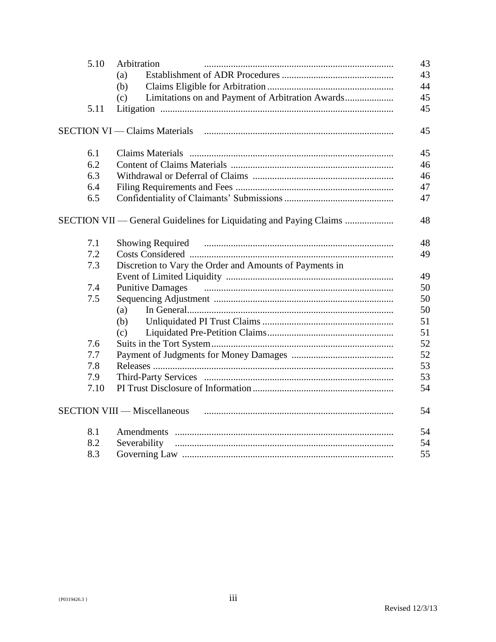| 5.10 | Arbitration                                                        | 43 |
|------|--------------------------------------------------------------------|----|
|      | (a)                                                                | 43 |
|      | (b)                                                                | 44 |
|      | (c)                                                                | 45 |
| 5.11 |                                                                    | 45 |
|      | <b>SECTION VI</b> — Claims Materials                               | 45 |
| 6.1  |                                                                    | 45 |
| 6.2  |                                                                    | 46 |
| 6.3  |                                                                    | 46 |
| 6.4  |                                                                    | 47 |
| 6.5  |                                                                    | 47 |
|      | SECTION VII — General Guidelines for Liquidating and Paying Claims | 48 |
| 7.1  |                                                                    | 48 |
| 7.2  |                                                                    | 49 |
| 7.3  | Discretion to Vary the Order and Amounts of Payments in            |    |
|      |                                                                    | 49 |
| 7.4  | <b>Punitive Damages</b>                                            | 50 |
| 7.5  |                                                                    | 50 |
|      | (a)                                                                | 50 |
|      | (b)                                                                | 51 |
|      | (c)                                                                | 51 |
| 7.6  |                                                                    | 52 |
| 7.7  |                                                                    | 52 |
| 7.8  |                                                                    | 53 |
| 7.9  |                                                                    | 53 |
| 7.10 |                                                                    | 54 |
|      | <b>SECTION VIII — Miscellaneous</b>                                | 54 |
| 8.1  |                                                                    | 54 |
| 8.2  | Severability                                                       | 54 |
| 8.3  |                                                                    | 55 |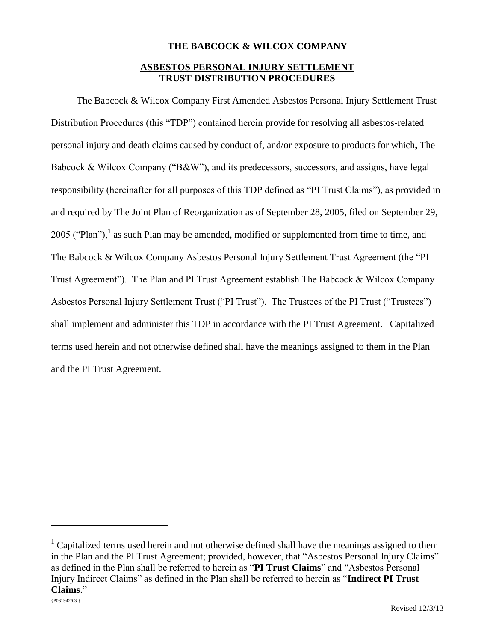# **THE BABCOCK & WILCOX COMPANY**

# **ASBESTOS PERSONAL INJURY SETTLEMENT TRUST DISTRIBUTION PROCEDURES**

The Babcock & Wilcox Company First Amended Asbestos Personal Injury Settlement Trust Distribution Procedures (this "TDP") contained herein provide for resolving all asbestos-related personal injury and death claims caused by conduct of, and/or exposure to products for which**,** The Babcock & Wilcox Company ("B&W"), and its predecessors, successors, and assigns, have legal responsibility (hereinafter for all purposes of this TDP defined as "PI Trust Claims"), as provided in and required by The Joint Plan of Reorganization as of September 28, 2005, filed on September 29, 2005 ("Plan"),<sup>1</sup> as such Plan may be amended, modified or supplemented from time to time, and The Babcock & Wilcox Company Asbestos Personal Injury Settlement Trust Agreement (the "PI Trust Agreement"). The Plan and PI Trust Agreement establish The Babcock & Wilcox Company Asbestos Personal Injury Settlement Trust ("PI Trust"). The Trustees of the PI Trust ("Trustees") shall implement and administer this TDP in accordance with the PI Trust Agreement. Capitalized terms used herein and not otherwise defined shall have the meanings assigned to them in the Plan and the PI Trust Agreement.

 $1$  Capitalized terms used herein and not otherwise defined shall have the meanings assigned to them in the Plan and the PI Trust Agreement; provided, however, that "Asbestos Personal Injury Claims" as defined in the Plan shall be referred to herein as "**PI Trust Claims**" and "Asbestos Personal Injury Indirect Claims" as defined in the Plan shall be referred to herein as "**Indirect PI Trust Claims**."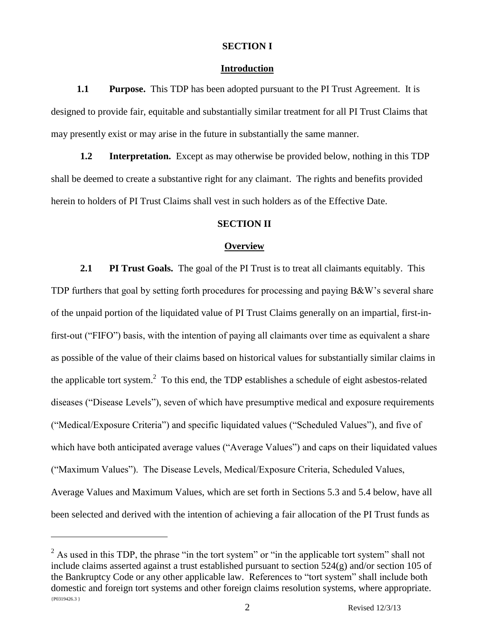### **SECTION I**

### **Introduction**

**1.1 Purpose.** This TDP has been adopted pursuant to the PI Trust Agreement. It is designed to provide fair, equitable and substantially similar treatment for all PI Trust Claims that may presently exist or may arise in the future in substantially the same manner.

**1.2 Interpretation.** Except as may otherwise be provided below, nothing in this TDP shall be deemed to create a substantive right for any claimant. The rights and benefits provided herein to holders of PI Trust Claims shall vest in such holders as of the Effective Date.

## **SECTION II**

### **Overview**

**2.1 PI Trust Goals.** The goal of the PI Trust is to treat all claimants equitably. This TDP furthers that goal by setting forth procedures for processing and paying B&W's several share of the unpaid portion of the liquidated value of PI Trust Claims generally on an impartial, first-infirst-out ("FIFO") basis, with the intention of paying all claimants over time as equivalent a share as possible of the value of their claims based on historical values for substantially similar claims in the applicable tort system.<sup>2</sup> To this end, the TDP establishes a schedule of eight asbestos-related diseases ("Disease Levels"), seven of which have presumptive medical and exposure requirements ("Medical/Exposure Criteria") and specific liquidated values ("Scheduled Values"), and five of which have both anticipated average values ("Average Values") and caps on their liquidated values ("Maximum Values"). The Disease Levels, Medical/Exposure Criteria, Scheduled Values, Average Values and Maximum Values, which are set forth in Sections 5.3 and 5.4 below, have all been selected and derived with the intention of achieving a fair allocation of the PI Trust funds as

 ${P0319426.3}$  $^{2}$  As used in this TDP, the phrase "in the tort system" or "in the applicable tort system" shall not include claims asserted against a trust established pursuant to section 524(g) and/or section 105 of the Bankruptcy Code or any other applicable law. References to "tort system" shall include both domestic and foreign tort systems and other foreign claims resolution systems, where appropriate.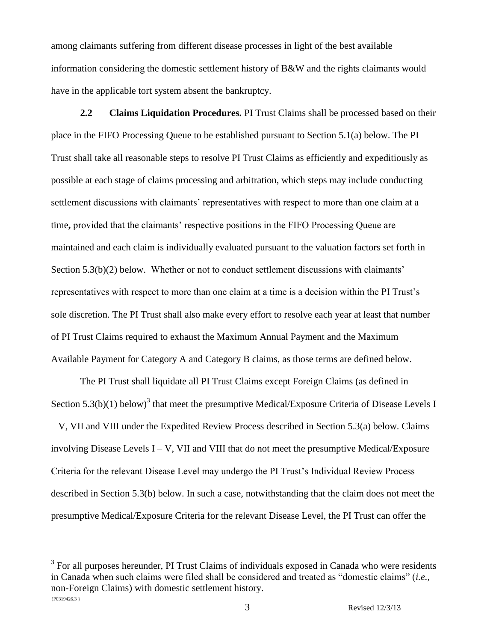among claimants suffering from different disease processes in light of the best available information considering the domestic settlement history of B&W and the rights claimants would have in the applicable tort system absent the bankruptcy.

**2.2 Claims Liquidation Procedures.** PI Trust Claims shall be processed based on their place in the FIFO Processing Queue to be established pursuant to Section 5.1(a) below. The PI Trust shall take all reasonable steps to resolve PI Trust Claims as efficiently and expeditiously as possible at each stage of claims processing and arbitration, which steps may include conducting settlement discussions with claimants' representatives with respect to more than one claim at a time**,** provided that the claimants' respective positions in the FIFO Processing Queue are maintained and each claim is individually evaluated pursuant to the valuation factors set forth in Section 5.3(b)(2) below. Whether or not to conduct settlement discussions with claimants' representatives with respect to more than one claim at a time is a decision within the PI Trust's sole discretion. The PI Trust shall also make every effort to resolve each year at least that number of PI Trust Claims required to exhaust the Maximum Annual Payment and the Maximum Available Payment for Category A and Category B claims, as those terms are defined below.

The PI Trust shall liquidate all PI Trust Claims except Foreign Claims (as defined in Section 5.3(b)(1) below)<sup>3</sup> that meet the presumptive Medical/Exposure Criteria of Disease Levels I – V, VII and VIII under the Expedited Review Process described in Section 5.3(a) below. Claims involving Disease Levels I – V, VII and VIII that do not meet the presumptive Medical/Exposure Criteria for the relevant Disease Level may undergo the PI Trust's Individual Review Process described in Section 5.3(b) below. In such a case, notwithstanding that the claim does not meet the presumptive Medical/Exposure Criteria for the relevant Disease Level, the PI Trust can offer the

 ${P0319426.3}$  $3$  For all purposes hereunder, PI Trust Claims of individuals exposed in Canada who were residents in Canada when such claims were filed shall be considered and treated as "domestic claims" (*i.e.*, non-Foreign Claims) with domestic settlement history.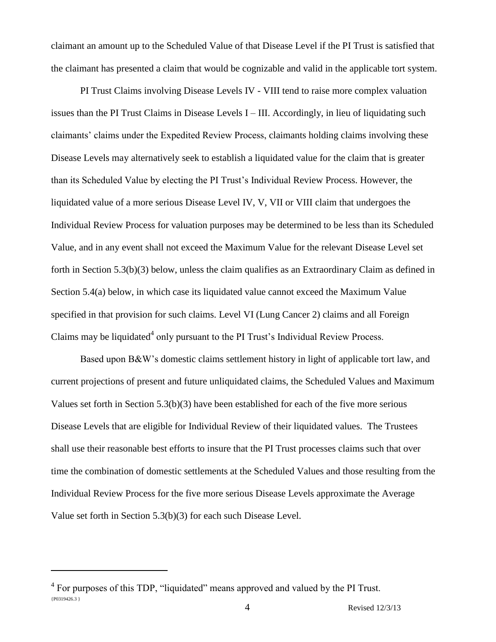claimant an amount up to the Scheduled Value of that Disease Level if the PI Trust is satisfied that the claimant has presented a claim that would be cognizable and valid in the applicable tort system.

PI Trust Claims involving Disease Levels IV - VIII tend to raise more complex valuation issues than the PI Trust Claims in Disease Levels I – III. Accordingly, in lieu of liquidating such claimants' claims under the Expedited Review Process, claimants holding claims involving these Disease Levels may alternatively seek to establish a liquidated value for the claim that is greater than its Scheduled Value by electing the PI Trust's Individual Review Process. However, the liquidated value of a more serious Disease Level IV, V, VII or VIII claim that undergoes the Individual Review Process for valuation purposes may be determined to be less than its Scheduled Value, and in any event shall not exceed the Maximum Value for the relevant Disease Level set forth in Section 5.3(b)(3) below, unless the claim qualifies as an Extraordinary Claim as defined in Section 5.4(a) below, in which case its liquidated value cannot exceed the Maximum Value specified in that provision for such claims. Level VI (Lung Cancer 2) claims and all Foreign Claims may be liquidated<sup>4</sup> only pursuant to the PI Trust's Individual Review Process.

Based upon B&W's domestic claims settlement history in light of applicable tort law, and current projections of present and future unliquidated claims, the Scheduled Values and Maximum Values set forth in Section 5.3(b)(3) have been established for each of the five more serious Disease Levels that are eligible for Individual Review of their liquidated values. The Trustees shall use their reasonable best efforts to insure that the PI Trust processes claims such that over time the combination of domestic settlements at the Scheduled Values and those resulting from the Individual Review Process for the five more serious Disease Levels approximate the Average Value set forth in Section 5.3(b)(3) for each such Disease Level.

<sup>{</sup>P0319426.3 } <sup>4</sup> For purposes of this TDP, "liquidated" means approved and valued by the PI Trust.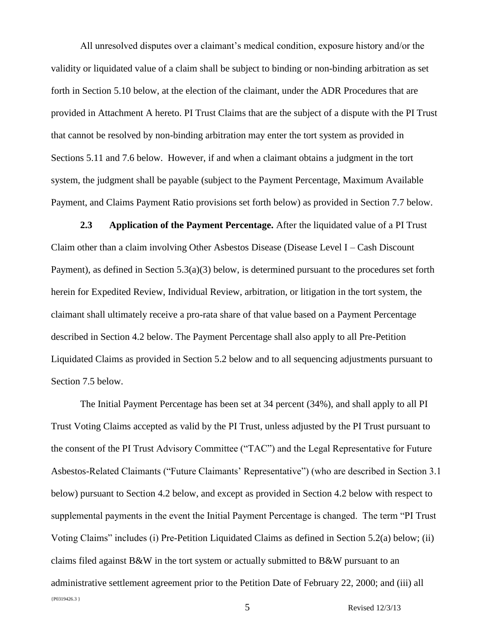All unresolved disputes over a claimant's medical condition, exposure history and/or the validity or liquidated value of a claim shall be subject to binding or non-binding arbitration as set forth in Section 5.10 below, at the election of the claimant, under the ADR Procedures that are provided in Attachment A hereto. PI Trust Claims that are the subject of a dispute with the PI Trust that cannot be resolved by non-binding arbitration may enter the tort system as provided in Sections 5.11 and 7.6 below. However, if and when a claimant obtains a judgment in the tort system, the judgment shall be payable (subject to the Payment Percentage, Maximum Available Payment, and Claims Payment Ratio provisions set forth below) as provided in Section 7.7 below.

**2.3 Application of the Payment Percentage.** After the liquidated value of a PI Trust Claim other than a claim involving Other Asbestos Disease (Disease Level I – Cash Discount Payment), as defined in Section 5.3(a)(3) below, is determined pursuant to the procedures set forth herein for Expedited Review, Individual Review, arbitration, or litigation in the tort system, the claimant shall ultimately receive a pro-rata share of that value based on a Payment Percentage described in Section 4.2 below. The Payment Percentage shall also apply to all Pre-Petition Liquidated Claims as provided in Section 5.2 below and to all sequencing adjustments pursuant to Section 7.5 below.

{P0319426.3 } The Initial Payment Percentage has been set at 34 percent (34%), and shall apply to all PI Trust Voting Claims accepted as valid by the PI Trust, unless adjusted by the PI Trust pursuant to the consent of the PI Trust Advisory Committee ("TAC") and the Legal Representative for Future Asbestos-Related Claimants ("Future Claimants' Representative") (who are described in Section 3.1 below) pursuant to Section 4.2 below, and except as provided in Section 4.2 below with respect to supplemental payments in the event the Initial Payment Percentage is changed. The term "PI Trust Voting Claims" includes (i) Pre-Petition Liquidated Claims as defined in Section 5.2(a) below; (ii) claims filed against B&W in the tort system or actually submitted to B&W pursuant to an administrative settlement agreement prior to the Petition Date of February 22, 2000; and (iii) all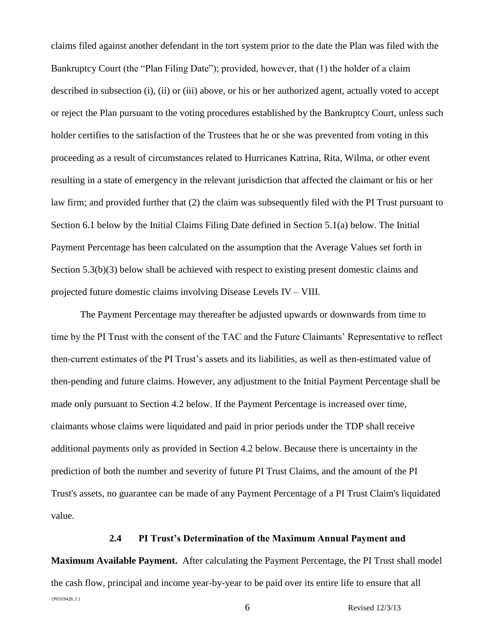claims filed against another defendant in the tort system prior to the date the Plan was filed with the Bankruptcy Court (the "Plan Filing Date"); provided, however, that (1) the holder of a claim described in subsection (i), (ii) or (iii) above, or his or her authorized agent, actually voted to accept or reject the Plan pursuant to the voting procedures established by the Bankruptcy Court, unless such holder certifies to the satisfaction of the Trustees that he or she was prevented from voting in this proceeding as a result of circumstances related to Hurricanes Katrina, Rita, Wilma, or other event resulting in a state of emergency in the relevant jurisdiction that affected the claimant or his or her law firm; and provided further that (2) the claim was subsequently filed with the PI Trust pursuant to Section 6.1 below by the Initial Claims Filing Date defined in Section 5.1(a) below. The Initial Payment Percentage has been calculated on the assumption that the Average Values set forth in Section 5.3(b)(3) below shall be achieved with respect to existing present domestic claims and projected future domestic claims involving Disease Levels IV – VIII.

The Payment Percentage may thereafter be adjusted upwards or downwards from time to time by the PI Trust with the consent of the TAC and the Future Claimants' Representative to reflect then-current estimates of the PI Trust's assets and its liabilities, as well as then-estimated value of then-pending and future claims. However, any adjustment to the Initial Payment Percentage shall be made only pursuant to Section 4.2 below. If the Payment Percentage is increased over time, claimants whose claims were liquidated and paid in prior periods under the TDP shall receive additional payments only as provided in Section 4.2 below. Because there is uncertainty in the prediction of both the number and severity of future PI Trust Claims, and the amount of the PI Trust's assets, no guarantee can be made of any Payment Percentage of a PI Trust Claim's liquidated value.

### **2.4 PI Trust's Determination of the Maximum Annual Payment and**

{P0319426.3 } 6 Revised 12/3/13 **Maximum Available Payment.** After calculating the Payment Percentage, the PI Trust shall model the cash flow, principal and income year-by-year to be paid over its entire life to ensure that all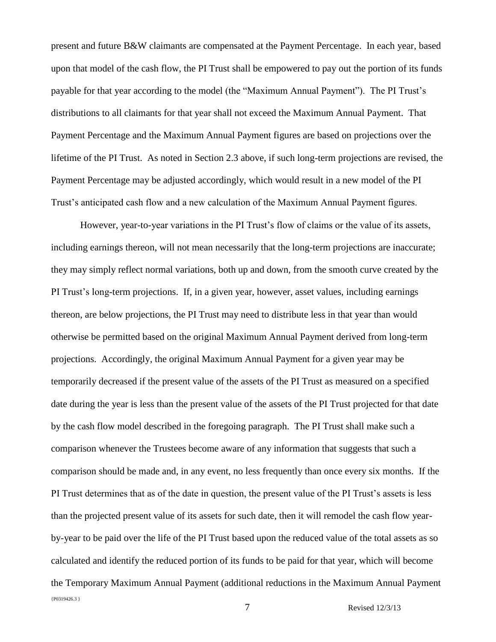present and future B&W claimants are compensated at the Payment Percentage. In each year, based upon that model of the cash flow, the PI Trust shall be empowered to pay out the portion of its funds payable for that year according to the model (the "Maximum Annual Payment"). The PI Trust's distributions to all claimants for that year shall not exceed the Maximum Annual Payment. That Payment Percentage and the Maximum Annual Payment figures are based on projections over the lifetime of the PI Trust. As noted in Section 2.3 above, if such long-term projections are revised, the Payment Percentage may be adjusted accordingly, which would result in a new model of the PI Trust's anticipated cash flow and a new calculation of the Maximum Annual Payment figures.

{P0319426.3 } However, year-to-year variations in the PI Trust's flow of claims or the value of its assets, including earnings thereon, will not mean necessarily that the long-term projections are inaccurate; they may simply reflect normal variations, both up and down, from the smooth curve created by the PI Trust's long-term projections. If, in a given year, however, asset values, including earnings thereon, are below projections, the PI Trust may need to distribute less in that year than would otherwise be permitted based on the original Maximum Annual Payment derived from long-term projections. Accordingly, the original Maximum Annual Payment for a given year may be temporarily decreased if the present value of the assets of the PI Trust as measured on a specified date during the year is less than the present value of the assets of the PI Trust projected for that date by the cash flow model described in the foregoing paragraph. The PI Trust shall make such a comparison whenever the Trustees become aware of any information that suggests that such a comparison should be made and, in any event, no less frequently than once every six months. If the PI Trust determines that as of the date in question, the present value of the PI Trust's assets is less than the projected present value of its assets for such date, then it will remodel the cash flow yearby-year to be paid over the life of the PI Trust based upon the reduced value of the total assets as so calculated and identify the reduced portion of its funds to be paid for that year, which will become the Temporary Maximum Annual Payment (additional reductions in the Maximum Annual Payment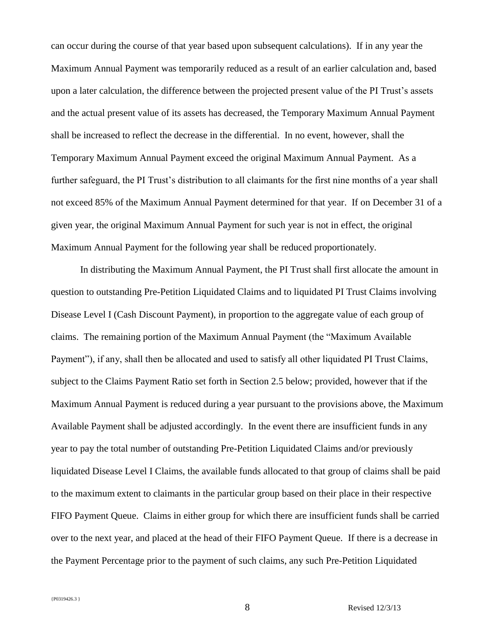can occur during the course of that year based upon subsequent calculations). If in any year the Maximum Annual Payment was temporarily reduced as a result of an earlier calculation and, based upon a later calculation, the difference between the projected present value of the PI Trust's assets and the actual present value of its assets has decreased, the Temporary Maximum Annual Payment shall be increased to reflect the decrease in the differential. In no event, however, shall the Temporary Maximum Annual Payment exceed the original Maximum Annual Payment. As a further safeguard, the PI Trust's distribution to all claimants for the first nine months of a year shall not exceed 85% of the Maximum Annual Payment determined for that year. If on December 31 of a given year, the original Maximum Annual Payment for such year is not in effect, the original Maximum Annual Payment for the following year shall be reduced proportionately.

In distributing the Maximum Annual Payment, the PI Trust shall first allocate the amount in question to outstanding Pre-Petition Liquidated Claims and to liquidated PI Trust Claims involving Disease Level I (Cash Discount Payment), in proportion to the aggregate value of each group of claims. The remaining portion of the Maximum Annual Payment (the "Maximum Available Payment"), if any, shall then be allocated and used to satisfy all other liquidated PI Trust Claims, subject to the Claims Payment Ratio set forth in Section 2.5 below; provided, however that if the Maximum Annual Payment is reduced during a year pursuant to the provisions above, the Maximum Available Payment shall be adjusted accordingly. In the event there are insufficient funds in any year to pay the total number of outstanding Pre-Petition Liquidated Claims and/or previously liquidated Disease Level I Claims, the available funds allocated to that group of claims shall be paid to the maximum extent to claimants in the particular group based on their place in their respective FIFO Payment Queue. Claims in either group for which there are insufficient funds shall be carried over to the next year, and placed at the head of their FIFO Payment Queue. If there is a decrease in the Payment Percentage prior to the payment of such claims, any such Pre-Petition Liquidated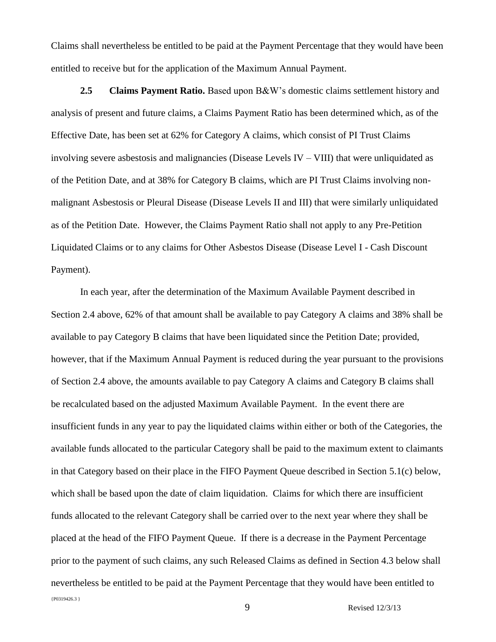Claims shall nevertheless be entitled to be paid at the Payment Percentage that they would have been entitled to receive but for the application of the Maximum Annual Payment.

**2.5 Claims Payment Ratio.** Based upon B&W's domestic claims settlement history and analysis of present and future claims, a Claims Payment Ratio has been determined which, as of the Effective Date, has been set at 62% for Category A claims, which consist of PI Trust Claims involving severe asbestosis and malignancies (Disease Levels  $IV - VIII$ ) that were unliquidated as of the Petition Date, and at 38% for Category B claims, which are PI Trust Claims involving nonmalignant Asbestosis or Pleural Disease (Disease Levels II and III) that were similarly unliquidated as of the Petition Date. However, the Claims Payment Ratio shall not apply to any Pre-Petition Liquidated Claims or to any claims for Other Asbestos Disease (Disease Level I - Cash Discount Payment).

{P0319426.3 } In each year, after the determination of the Maximum Available Payment described in Section 2.4 above, 62% of that amount shall be available to pay Category A claims and 38% shall be available to pay Category B claims that have been liquidated since the Petition Date; provided, however, that if the Maximum Annual Payment is reduced during the year pursuant to the provisions of Section 2.4 above, the amounts available to pay Category A claims and Category B claims shall be recalculated based on the adjusted Maximum Available Payment. In the event there are insufficient funds in any year to pay the liquidated claims within either or both of the Categories, the available funds allocated to the particular Category shall be paid to the maximum extent to claimants in that Category based on their place in the FIFO Payment Queue described in Section 5.1(c) below, which shall be based upon the date of claim liquidation. Claims for which there are insufficient funds allocated to the relevant Category shall be carried over to the next year where they shall be placed at the head of the FIFO Payment Queue. If there is a decrease in the Payment Percentage prior to the payment of such claims, any such Released Claims as defined in Section 4.3 below shall nevertheless be entitled to be paid at the Payment Percentage that they would have been entitled to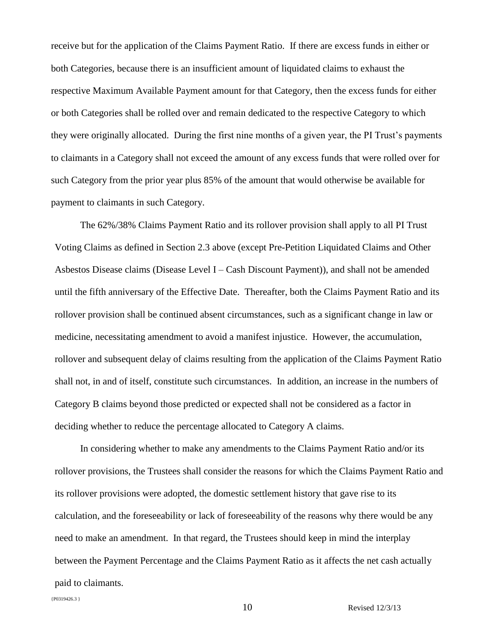receive but for the application of the Claims Payment Ratio. If there are excess funds in either or both Categories, because there is an insufficient amount of liquidated claims to exhaust the respective Maximum Available Payment amount for that Category, then the excess funds for either or both Categories shall be rolled over and remain dedicated to the respective Category to which they were originally allocated. During the first nine months of a given year, the PI Trust's payments to claimants in a Category shall not exceed the amount of any excess funds that were rolled over for such Category from the prior year plus 85% of the amount that would otherwise be available for payment to claimants in such Category.

The 62%/38% Claims Payment Ratio and its rollover provision shall apply to all PI Trust Voting Claims as defined in Section 2.3 above (except Pre-Petition Liquidated Claims and Other Asbestos Disease claims (Disease Level I – Cash Discount Payment)), and shall not be amended until the fifth anniversary of the Effective Date. Thereafter, both the Claims Payment Ratio and its rollover provision shall be continued absent circumstances, such as a significant change in law or medicine, necessitating amendment to avoid a manifest injustice. However, the accumulation, rollover and subsequent delay of claims resulting from the application of the Claims Payment Ratio shall not, in and of itself, constitute such circumstances. In addition, an increase in the numbers of Category B claims beyond those predicted or expected shall not be considered as a factor in deciding whether to reduce the percentage allocated to Category A claims.

In considering whether to make any amendments to the Claims Payment Ratio and/or its rollover provisions, the Trustees shall consider the reasons for which the Claims Payment Ratio and its rollover provisions were adopted, the domestic settlement history that gave rise to its calculation, and the foreseeability or lack of foreseeability of the reasons why there would be any need to make an amendment. In that regard, the Trustees should keep in mind the interplay between the Payment Percentage and the Claims Payment Ratio as it affects the net cash actually paid to claimants.

```
{P0319426.3 }
```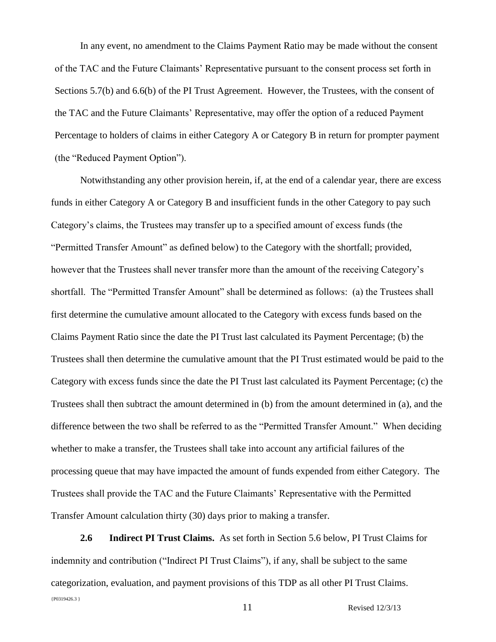In any event, no amendment to the Claims Payment Ratio may be made without the consent of the TAC and the Future Claimants' Representative pursuant to the consent process set forth in Sections 5.7(b) and 6.6(b) of the PI Trust Agreement. However, the Trustees, with the consent of the TAC and the Future Claimants' Representative, may offer the option of a reduced Payment Percentage to holders of claims in either Category A or Category B in return for prompter payment (the "Reduced Payment Option").

Notwithstanding any other provision herein, if, at the end of a calendar year, there are excess funds in either Category A or Category B and insufficient funds in the other Category to pay such Category's claims, the Trustees may transfer up to a specified amount of excess funds (the "Permitted Transfer Amount" as defined below) to the Category with the shortfall; provided, however that the Trustees shall never transfer more than the amount of the receiving Category's shortfall. The "Permitted Transfer Amount" shall be determined as follows: (a) the Trustees shall first determine the cumulative amount allocated to the Category with excess funds based on the Claims Payment Ratio since the date the PI Trust last calculated its Payment Percentage; (b) the Trustees shall then determine the cumulative amount that the PI Trust estimated would be paid to the Category with excess funds since the date the PI Trust last calculated its Payment Percentage; (c) the Trustees shall then subtract the amount determined in (b) from the amount determined in (a), and the difference between the two shall be referred to as the "Permitted Transfer Amount." When deciding whether to make a transfer, the Trustees shall take into account any artificial failures of the processing queue that may have impacted the amount of funds expended from either Category. The Trustees shall provide the TAC and the Future Claimants' Representative with the Permitted Transfer Amount calculation thirty (30) days prior to making a transfer.

{P0319426.3 } 11 Revised 12/3/13 **2.6 Indirect PI Trust Claims.** As set forth in Section 5.6 below, PI Trust Claims for indemnity and contribution ("Indirect PI Trust Claims"), if any, shall be subject to the same categorization, evaluation, and payment provisions of this TDP as all other PI Trust Claims.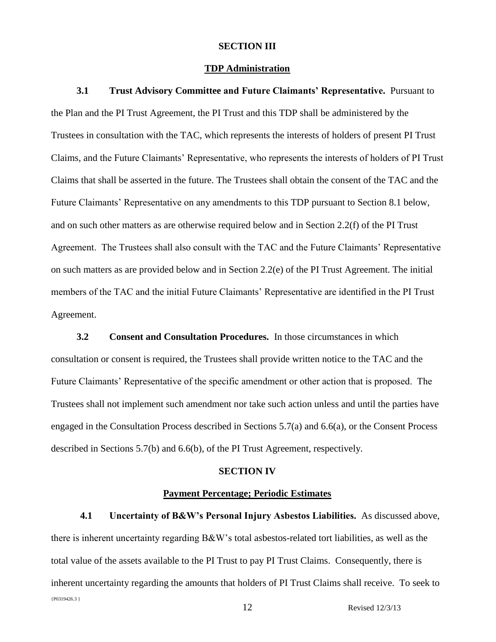#### **SECTION III**

### **TDP Administration**

**3.1 Trust Advisory Committee and Future Claimants' Representative.** Pursuant to the Plan and the PI Trust Agreement, the PI Trust and this TDP shall be administered by the Trustees in consultation with the TAC, which represents the interests of holders of present PI Trust Claims, and the Future Claimants' Representative, who represents the interests of holders of PI Trust Claims that shall be asserted in the future. The Trustees shall obtain the consent of the TAC and the Future Claimants' Representative on any amendments to this TDP pursuant to Section 8.1 below, and on such other matters as are otherwise required below and in Section 2.2(f) of the PI Trust Agreement. The Trustees shall also consult with the TAC and the Future Claimants' Representative on such matters as are provided below and in Section 2.2(e) of the PI Trust Agreement. The initial members of the TAC and the initial Future Claimants' Representative are identified in the PI Trust Agreement.

**3.2 Consent and Consultation Procedures.** In those circumstances in which consultation or consent is required, the Trustees shall provide written notice to the TAC and the Future Claimants' Representative of the specific amendment or other action that is proposed. The Trustees shall not implement such amendment nor take such action unless and until the parties have engaged in the Consultation Process described in Sections 5.7(a) and 6.6(a), or the Consent Process described in Sections 5.7(b) and 6.6(b), of the PI Trust Agreement, respectively.

### **SECTION IV**

### **Payment Percentage; Periodic Estimates**

{P0319426.3 } 12 Revised 12/3/13 **4.1 Uncertainty of B&W's Personal Injury Asbestos Liabilities.** As discussed above, there is inherent uncertainty regarding B&W's total asbestos-related tort liabilities, as well as the total value of the assets available to the PI Trust to pay PI Trust Claims. Consequently, there is inherent uncertainty regarding the amounts that holders of PI Trust Claims shall receive. To seek to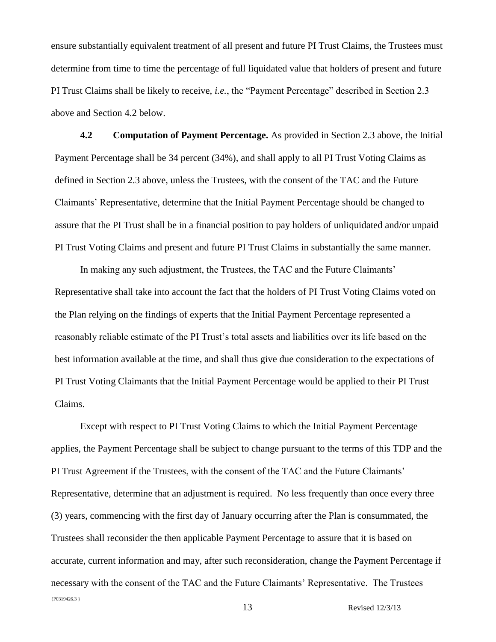ensure substantially equivalent treatment of all present and future PI Trust Claims, the Trustees must determine from time to time the percentage of full liquidated value that holders of present and future PI Trust Claims shall be likely to receive, *i.e.*, the "Payment Percentage" described in Section 2.3 above and Section 4.2 below.

**4.2 Computation of Payment Percentage.** As provided in Section 2.3 above, the Initial Payment Percentage shall be 34 percent (34%), and shall apply to all PI Trust Voting Claims as defined in Section 2.3 above, unless the Trustees, with the consent of the TAC and the Future Claimants' Representative, determine that the Initial Payment Percentage should be changed to assure that the PI Trust shall be in a financial position to pay holders of unliquidated and/or unpaid PI Trust Voting Claims and present and future PI Trust Claims in substantially the same manner.

In making any such adjustment, the Trustees, the TAC and the Future Claimants' Representative shall take into account the fact that the holders of PI Trust Voting Claims voted on the Plan relying on the findings of experts that the Initial Payment Percentage represented a reasonably reliable estimate of the PI Trust's total assets and liabilities over its life based on the best information available at the time, and shall thus give due consideration to the expectations of PI Trust Voting Claimants that the Initial Payment Percentage would be applied to their PI Trust Claims.

{P0319426.3 } 13 Revised 12/3/13 Except with respect to PI Trust Voting Claims to which the Initial Payment Percentage applies, the Payment Percentage shall be subject to change pursuant to the terms of this TDP and the PI Trust Agreement if the Trustees, with the consent of the TAC and the Future Claimants' Representative, determine that an adjustment is required. No less frequently than once every three (3) years, commencing with the first day of January occurring after the Plan is consummated, the Trustees shall reconsider the then applicable Payment Percentage to assure that it is based on accurate, current information and may, after such reconsideration, change the Payment Percentage if necessary with the consent of the TAC and the Future Claimants' Representative. The Trustees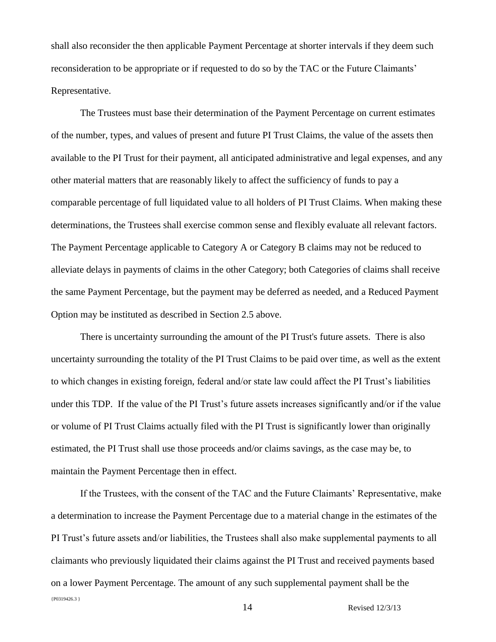shall also reconsider the then applicable Payment Percentage at shorter intervals if they deem such reconsideration to be appropriate or if requested to do so by the TAC or the Future Claimants' Representative.

The Trustees must base their determination of the Payment Percentage on current estimates of the number, types, and values of present and future PI Trust Claims, the value of the assets then available to the PI Trust for their payment, all anticipated administrative and legal expenses, and any other material matters that are reasonably likely to affect the sufficiency of funds to pay a comparable percentage of full liquidated value to all holders of PI Trust Claims. When making these determinations, the Trustees shall exercise common sense and flexibly evaluate all relevant factors. The Payment Percentage applicable to Category A or Category B claims may not be reduced to alleviate delays in payments of claims in the other Category; both Categories of claims shall receive the same Payment Percentage, but the payment may be deferred as needed, and a Reduced Payment Option may be instituted as described in Section 2.5 above.

There is uncertainty surrounding the amount of the PI Trust's future assets. There is also uncertainty surrounding the totality of the PI Trust Claims to be paid over time, as well as the extent to which changes in existing foreign, federal and/or state law could affect the PI Trust's liabilities under this TDP. If the value of the PI Trust's future assets increases significantly and/or if the value or volume of PI Trust Claims actually filed with the PI Trust is significantly lower than originally estimated, the PI Trust shall use those proceeds and/or claims savings, as the case may be, to maintain the Payment Percentage then in effect.

{P0319426.3 } If the Trustees, with the consent of the TAC and the Future Claimants' Representative, make a determination to increase the Payment Percentage due to a material change in the estimates of the PI Trust's future assets and/or liabilities, the Trustees shall also make supplemental payments to all claimants who previously liquidated their claims against the PI Trust and received payments based on a lower Payment Percentage. The amount of any such supplemental payment shall be the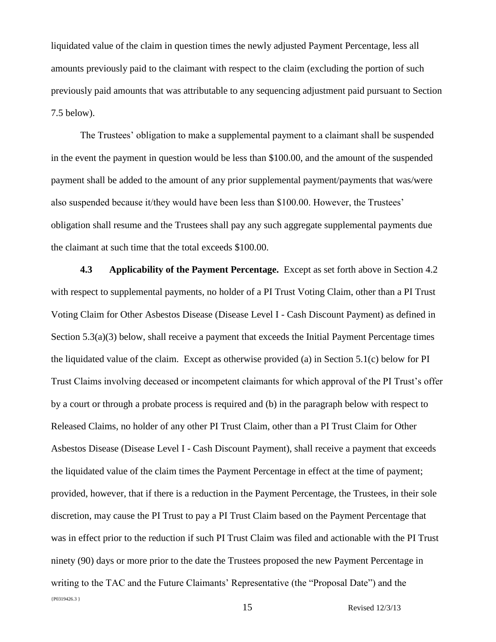liquidated value of the claim in question times the newly adjusted Payment Percentage, less all amounts previously paid to the claimant with respect to the claim (excluding the portion of such previously paid amounts that was attributable to any sequencing adjustment paid pursuant to Section 7.5 below).

The Trustees' obligation to make a supplemental payment to a claimant shall be suspended in the event the payment in question would be less than \$100.00, and the amount of the suspended payment shall be added to the amount of any prior supplemental payment/payments that was/were also suspended because it/they would have been less than \$100.00. However, the Trustees' obligation shall resume and the Trustees shall pay any such aggregate supplemental payments due the claimant at such time that the total exceeds \$100.00.

{P0319426.3 } **4.3 Applicability of the Payment Percentage.** Except as set forth above in Section 4.2 with respect to supplemental payments, no holder of a PI Trust Voting Claim, other than a PI Trust Voting Claim for Other Asbestos Disease (Disease Level I - Cash Discount Payment) as defined in Section 5.3(a)(3) below, shall receive a payment that exceeds the Initial Payment Percentage times the liquidated value of the claim. Except as otherwise provided (a) in Section 5.1(c) below for PI Trust Claims involving deceased or incompetent claimants for which approval of the PI Trust's offer by a court or through a probate process is required and (b) in the paragraph below with respect to Released Claims, no holder of any other PI Trust Claim, other than a PI Trust Claim for Other Asbestos Disease (Disease Level I - Cash Discount Payment), shall receive a payment that exceeds the liquidated value of the claim times the Payment Percentage in effect at the time of payment; provided, however, that if there is a reduction in the Payment Percentage, the Trustees, in their sole discretion, may cause the PI Trust to pay a PI Trust Claim based on the Payment Percentage that was in effect prior to the reduction if such PI Trust Claim was filed and actionable with the PI Trust ninety (90) days or more prior to the date the Trustees proposed the new Payment Percentage in writing to the TAC and the Future Claimants' Representative (the "Proposal Date") and the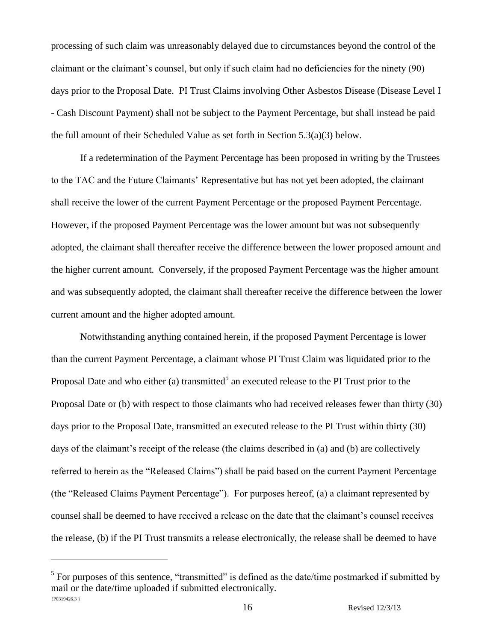processing of such claim was unreasonably delayed due to circumstances beyond the control of the claimant or the claimant's counsel, but only if such claim had no deficiencies for the ninety (90) days prior to the Proposal Date. PI Trust Claims involving Other Asbestos Disease (Disease Level I - Cash Discount Payment) shall not be subject to the Payment Percentage, but shall instead be paid the full amount of their Scheduled Value as set forth in Section  $5.3(a)(3)$  below.

If a redetermination of the Payment Percentage has been proposed in writing by the Trustees to the TAC and the Future Claimants' Representative but has not yet been adopted, the claimant shall receive the lower of the current Payment Percentage or the proposed Payment Percentage. However, if the proposed Payment Percentage was the lower amount but was not subsequently adopted, the claimant shall thereafter receive the difference between the lower proposed amount and the higher current amount. Conversely, if the proposed Payment Percentage was the higher amount and was subsequently adopted, the claimant shall thereafter receive the difference between the lower current amount and the higher adopted amount.

Notwithstanding anything contained herein, if the proposed Payment Percentage is lower than the current Payment Percentage, a claimant whose PI Trust Claim was liquidated prior to the Proposal Date and who either (a) transmitted<sup>5</sup> an executed release to the PI Trust prior to the Proposal Date or (b) with respect to those claimants who had received releases fewer than thirty (30) days prior to the Proposal Date, transmitted an executed release to the PI Trust within thirty (30) days of the claimant's receipt of the release (the claims described in (a) and (b) are collectively referred to herein as the "Released Claims") shall be paid based on the current Payment Percentage (the "Released Claims Payment Percentage"). For purposes hereof, (a) a claimant represented by counsel shall be deemed to have received a release on the date that the claimant's counsel receives the release, (b) if the PI Trust transmits a release electronically, the release shall be deemed to have

<sup>{</sup>P0319426.3 }  $<sup>5</sup>$  For purposes of this sentence, "transmitted" is defined as the date/time postmarked if submitted by</sup> mail or the date/time uploaded if submitted electronically.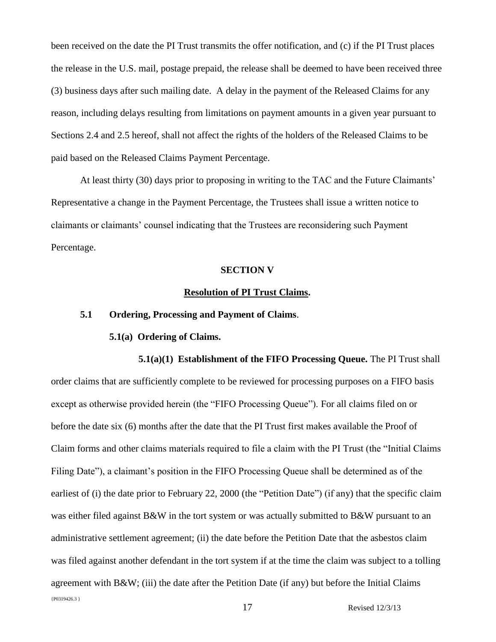been received on the date the PI Trust transmits the offer notification, and (c) if the PI Trust places the release in the U.S. mail, postage prepaid, the release shall be deemed to have been received three (3) business days after such mailing date. A delay in the payment of the Released Claims for any reason, including delays resulting from limitations on payment amounts in a given year pursuant to Sections 2.4 and 2.5 hereof, shall not affect the rights of the holders of the Released Claims to be paid based on the Released Claims Payment Percentage.

At least thirty (30) days prior to proposing in writing to the TAC and the Future Claimants' Representative a change in the Payment Percentage, the Trustees shall issue a written notice to claimants or claimants' counsel indicating that the Trustees are reconsidering such Payment Percentage.

#### **SECTION V**

### **Resolution of PI Trust Claims.**

### **5.1 Ordering, Processing and Payment of Claims**.

#### **5.1(a) Ordering of Claims.**

{P0319426.3 } **5.1(a)(1) Establishment of the FIFO Processing Queue.** The PI Trust shall order claims that are sufficiently complete to be reviewed for processing purposes on a FIFO basis except as otherwise provided herein (the "FIFO Processing Queue"). For all claims filed on or before the date six (6) months after the date that the PI Trust first makes available the Proof of Claim forms and other claims materials required to file a claim with the PI Trust (the "Initial Claims Filing Date"), a claimant's position in the FIFO Processing Queue shall be determined as of the earliest of (i) the date prior to February 22, 2000 (the "Petition Date") (if any) that the specific claim was either filed against B&W in the tort system or was actually submitted to B&W pursuant to an administrative settlement agreement; (ii) the date before the Petition Date that the asbestos claim was filed against another defendant in the tort system if at the time the claim was subject to a tolling agreement with B&W; (iii) the date after the Petition Date (if any) but before the Initial Claims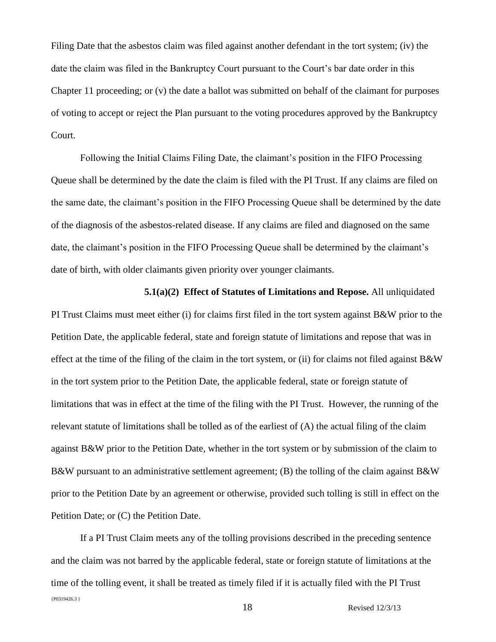Filing Date that the asbestos claim was filed against another defendant in the tort system; (iv) the date the claim was filed in the Bankruptcy Court pursuant to the Court's bar date order in this Chapter 11 proceeding; or (v) the date a ballot was submitted on behalf of the claimant for purposes of voting to accept or reject the Plan pursuant to the voting procedures approved by the Bankruptcy Court.

Following the Initial Claims Filing Date, the claimant's position in the FIFO Processing Queue shall be determined by the date the claim is filed with the PI Trust. If any claims are filed on the same date, the claimant's position in the FIFO Processing Queue shall be determined by the date of the diagnosis of the asbestos-related disease. If any claims are filed and diagnosed on the same date, the claimant's position in the FIFO Processing Queue shall be determined by the claimant's date of birth, with older claimants given priority over younger claimants.

**5.1(a)(2) Effect of Statutes of Limitations and Repose.** All unliquidated PI Trust Claims must meet either (i) for claims first filed in the tort system against B&W prior to the Petition Date, the applicable federal, state and foreign statute of limitations and repose that was in effect at the time of the filing of the claim in the tort system, or (ii) for claims not filed against  $B\&W$ in the tort system prior to the Petition Date, the applicable federal, state or foreign statute of limitations that was in effect at the time of the filing with the PI Trust. However, the running of the relevant statute of limitations shall be tolled as of the earliest of (A) the actual filing of the claim against B&W prior to the Petition Date, whether in the tort system or by submission of the claim to B&W pursuant to an administrative settlement agreement; (B) the tolling of the claim against B&W prior to the Petition Date by an agreement or otherwise, provided such tolling is still in effect on the Petition Date; or (C) the Petition Date.

{P0319426.3 } 18 Revised 12/3/13 If a PI Trust Claim meets any of the tolling provisions described in the preceding sentence and the claim was not barred by the applicable federal, state or foreign statute of limitations at the time of the tolling event, it shall be treated as timely filed if it is actually filed with the PI Trust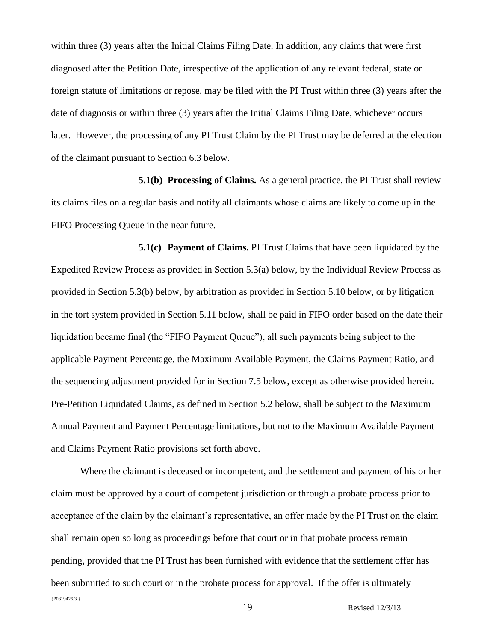within three (3) years after the Initial Claims Filing Date. In addition, any claims that were first diagnosed after the Petition Date, irrespective of the application of any relevant federal, state or foreign statute of limitations or repose, may be filed with the PI Trust within three (3) years after the date of diagnosis or within three (3) years after the Initial Claims Filing Date, whichever occurs later. However, the processing of any PI Trust Claim by the PI Trust may be deferred at the election of the claimant pursuant to Section 6.3 below.

**5.1(b) Processing of Claims.** As a general practice, the PI Trust shall review its claims files on a regular basis and notify all claimants whose claims are likely to come up in the FIFO Processing Queue in the near future.

**5.1(c) Payment of Claims.** PI Trust Claims that have been liquidated by the Expedited Review Process as provided in Section 5.3(a) below, by the Individual Review Process as provided in Section 5.3(b) below, by arbitration as provided in Section 5.10 below, or by litigation in the tort system provided in Section 5.11 below, shall be paid in FIFO order based on the date their liquidation became final (the "FIFO Payment Queue"), all such payments being subject to the applicable Payment Percentage, the Maximum Available Payment, the Claims Payment Ratio, and the sequencing adjustment provided for in Section 7.5 below, except as otherwise provided herein. Pre-Petition Liquidated Claims, as defined in Section 5.2 below, shall be subject to the Maximum Annual Payment and Payment Percentage limitations, but not to the Maximum Available Payment and Claims Payment Ratio provisions set forth above.

{P0319426.3 } 19 Revised 12/3/13 Where the claimant is deceased or incompetent, and the settlement and payment of his or her claim must be approved by a court of competent jurisdiction or through a probate process prior to acceptance of the claim by the claimant's representative, an offer made by the PI Trust on the claim shall remain open so long as proceedings before that court or in that probate process remain pending, provided that the PI Trust has been furnished with evidence that the settlement offer has been submitted to such court or in the probate process for approval. If the offer is ultimately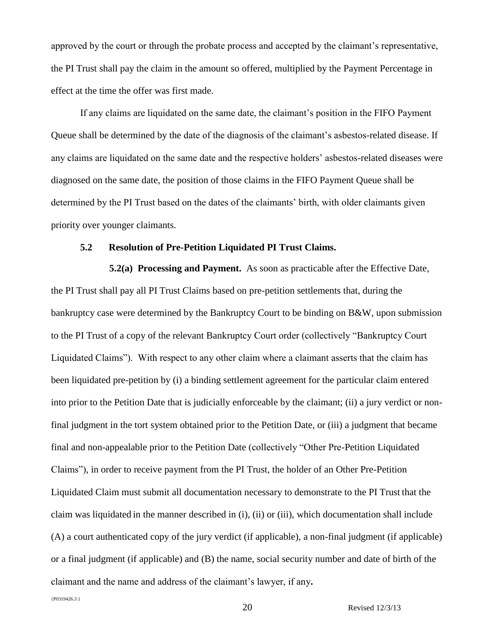approved by the court or through the probate process and accepted by the claimant's representative, the PI Trust shall pay the claim in the amount so offered, multiplied by the Payment Percentage in effect at the time the offer was first made.

If any claims are liquidated on the same date, the claimant's position in the FIFO Payment Queue shall be determined by the date of the diagnosis of the claimant's asbestos-related disease. If any claims are liquidated on the same date and the respective holders' asbestos-related diseases were diagnosed on the same date, the position of those claims in the FIFO Payment Queue shall be determined by the PI Trust based on the dates of the claimants' birth, with older claimants given priority over younger claimants.

# **5.2 Resolution of Pre-Petition Liquidated PI Trust Claims.**

**5.2(a) Processing and Payment.** As soon as practicable after the Effective Date, the PI Trust shall pay all PI Trust Claims based on pre-petition settlements that, during the bankruptcy case were determined by the Bankruptcy Court to be binding on B&W, upon submission to the PI Trust of a copy of the relevant Bankruptcy Court order (collectively "Bankruptcy Court Liquidated Claims"). With respect to any other claim where a claimant asserts that the claim has been liquidated pre-petition by (i) a binding settlement agreement for the particular claim entered into prior to the Petition Date that is judicially enforceable by the claimant; (ii) a jury verdict or nonfinal judgment in the tort system obtained prior to the Petition Date, or (iii) a judgment that became final and non-appealable prior to the Petition Date (collectively "Other Pre-Petition Liquidated Claims"), in order to receive payment from the PI Trust, the holder of an Other Pre-Petition Liquidated Claim must submit all documentation necessary to demonstrate to the PI Trust that the claim was liquidated in the manner described in (i), (ii) or (iii), which documentation shall include (A) a court authenticated copy of the jury verdict (if applicable), a non-final judgment (if applicable) or a final judgment (if applicable) and (B) the name, social security number and date of birth of the claimant and the name and address of the claimant's lawyer, if any**.** 

{P0319426.3 }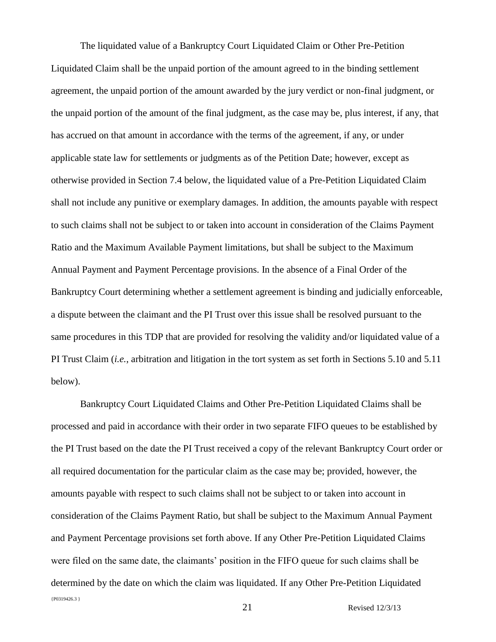The liquidated value of a Bankruptcy Court Liquidated Claim or Other Pre-Petition Liquidated Claim shall be the unpaid portion of the amount agreed to in the binding settlement agreement, the unpaid portion of the amount awarded by the jury verdict or non-final judgment, or the unpaid portion of the amount of the final judgment, as the case may be, plus interest, if any, that has accrued on that amount in accordance with the terms of the agreement, if any, or under applicable state law for settlements or judgments as of the Petition Date; however, except as otherwise provided in Section 7.4 below, the liquidated value of a Pre-Petition Liquidated Claim shall not include any punitive or exemplary damages. In addition, the amounts payable with respect to such claims shall not be subject to or taken into account in consideration of the Claims Payment Ratio and the Maximum Available Payment limitations, but shall be subject to the Maximum Annual Payment and Payment Percentage provisions. In the absence of a Final Order of the Bankruptcy Court determining whether a settlement agreement is binding and judicially enforceable, a dispute between the claimant and the PI Trust over this issue shall be resolved pursuant to the same procedures in this TDP that are provided for resolving the validity and/or liquidated value of a PI Trust Claim (*i.e.*, arbitration and litigation in the tort system as set forth in Sections 5.10 and 5.11 below).

{P0319426.3 } Bankruptcy Court Liquidated Claims and Other Pre-Petition Liquidated Claims shall be processed and paid in accordance with their order in two separate FIFO queues to be established by the PI Trust based on the date the PI Trust received a copy of the relevant Bankruptcy Court order or all required documentation for the particular claim as the case may be; provided, however, the amounts payable with respect to such claims shall not be subject to or taken into account in consideration of the Claims Payment Ratio, but shall be subject to the Maximum Annual Payment and Payment Percentage provisions set forth above. If any Other Pre-Petition Liquidated Claims were filed on the same date, the claimants' position in the FIFO queue for such claims shall be determined by the date on which the claim was liquidated. If any Other Pre-Petition Liquidated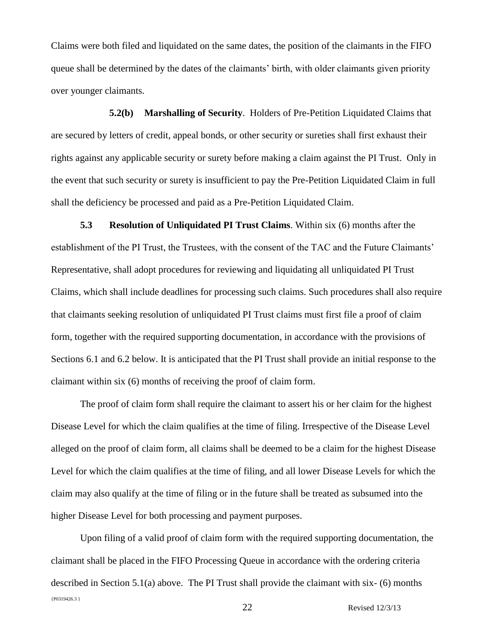Claims were both filed and liquidated on the same dates, the position of the claimants in the FIFO queue shall be determined by the dates of the claimants' birth, with older claimants given priority over younger claimants.

**5.2(b) Marshalling of Security**. Holders of Pre-Petition Liquidated Claims that are secured by letters of credit, appeal bonds, or other security or sureties shall first exhaust their rights against any applicable security or surety before making a claim against the PI Trust. Only in the event that such security or surety is insufficient to pay the Pre-Petition Liquidated Claim in full shall the deficiency be processed and paid as a Pre-Petition Liquidated Claim.

**5.3 Resolution of Unliquidated PI Trust Claims**. Within six (6) months after the establishment of the PI Trust, the Trustees, with the consent of the TAC and the Future Claimants' Representative, shall adopt procedures for reviewing and liquidating all unliquidated PI Trust Claims, which shall include deadlines for processing such claims. Such procedures shall also require that claimants seeking resolution of unliquidated PI Trust claims must first file a proof of claim form, together with the required supporting documentation, in accordance with the provisions of Sections 6.1 and 6.2 below. It is anticipated that the PI Trust shall provide an initial response to the claimant within six (6) months of receiving the proof of claim form.

The proof of claim form shall require the claimant to assert his or her claim for the highest Disease Level for which the claim qualifies at the time of filing. Irrespective of the Disease Level alleged on the proof of claim form, all claims shall be deemed to be a claim for the highest Disease Level for which the claim qualifies at the time of filing, and all lower Disease Levels for which the claim may also qualify at the time of filing or in the future shall be treated as subsumed into the higher Disease Level for both processing and payment purposes.

{P0319426.3 } Upon filing of a valid proof of claim form with the required supporting documentation, the claimant shall be placed in the FIFO Processing Queue in accordance with the ordering criteria described in Section 5.1(a) above. The PI Trust shall provide the claimant with six- (6) months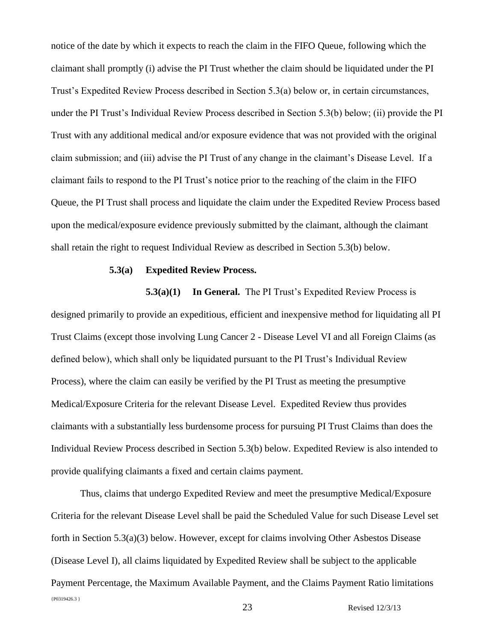notice of the date by which it expects to reach the claim in the FIFO Queue, following which the claimant shall promptly (i) advise the PI Trust whether the claim should be liquidated under the PI Trust's Expedited Review Process described in Section 5.3(a) below or, in certain circumstances, under the PI Trust's Individual Review Process described in Section 5.3(b) below; (ii) provide the PI Trust with any additional medical and/or exposure evidence that was not provided with the original claim submission; and (iii) advise the PI Trust of any change in the claimant's Disease Level. If a claimant fails to respond to the PI Trust's notice prior to the reaching of the claim in the FIFO Queue, the PI Trust shall process and liquidate the claim under the Expedited Review Process based upon the medical/exposure evidence previously submitted by the claimant, although the claimant shall retain the right to request Individual Review as described in Section 5.3(b) below.

#### **5.3(a) Expedited Review Process.**

**5.3(a)(1)** In General. The PI Trust's Expedited Review Process is designed primarily to provide an expeditious, efficient and inexpensive method for liquidating all PI Trust Claims (except those involving Lung Cancer 2 - Disease Level VI and all Foreign Claims (as defined below), which shall only be liquidated pursuant to the PI Trust's Individual Review Process), where the claim can easily be verified by the PI Trust as meeting the presumptive Medical/Exposure Criteria for the relevant Disease Level. Expedited Review thus provides claimants with a substantially less burdensome process for pursuing PI Trust Claims than does the Individual Review Process described in Section 5.3(b) below. Expedited Review is also intended to provide qualifying claimants a fixed and certain claims payment.

{P0319426.3 } 23 Revised 12/3/13 Thus, claims that undergo Expedited Review and meet the presumptive Medical/Exposure Criteria for the relevant Disease Level shall be paid the Scheduled Value for such Disease Level set forth in Section 5.3(a)(3) below. However, except for claims involving Other Asbestos Disease (Disease Level I), all claims liquidated by Expedited Review shall be subject to the applicable Payment Percentage, the Maximum Available Payment, and the Claims Payment Ratio limitations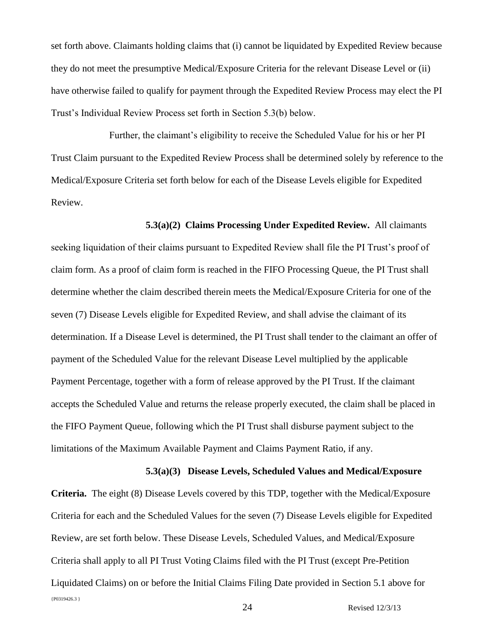set forth above. Claimants holding claims that (i) cannot be liquidated by Expedited Review because they do not meet the presumptive Medical/Exposure Criteria for the relevant Disease Level or (ii) have otherwise failed to qualify for payment through the Expedited Review Process may elect the PI Trust's Individual Review Process set forth in Section 5.3(b) below.

Further, the claimant's eligibility to receive the Scheduled Value for his or her PI Trust Claim pursuant to the Expedited Review Process shall be determined solely by reference to the Medical/Exposure Criteria set forth below for each of the Disease Levels eligible for Expedited Review.

**5.3(a)(2) Claims Processing Under Expedited Review.** All claimants seeking liquidation of their claims pursuant to Expedited Review shall file the PI Trust's proof of claim form. As a proof of claim form is reached in the FIFO Processing Queue, the PI Trust shall determine whether the claim described therein meets the Medical/Exposure Criteria for one of the seven (7) Disease Levels eligible for Expedited Review, and shall advise the claimant of its determination. If a Disease Level is determined, the PI Trust shall tender to the claimant an offer of payment of the Scheduled Value for the relevant Disease Level multiplied by the applicable Payment Percentage, together with a form of release approved by the PI Trust. If the claimant accepts the Scheduled Value and returns the release properly executed, the claim shall be placed in the FIFO Payment Queue, following which the PI Trust shall disburse payment subject to the limitations of the Maximum Available Payment and Claims Payment Ratio, if any.

# **5.3(a)(3) Disease Levels, Scheduled Values and Medical/Exposure**

{P0319426.3 } **Criteria.** The eight (8) Disease Levels covered by this TDP, together with the Medical/Exposure Criteria for each and the Scheduled Values for the seven (7) Disease Levels eligible for Expedited Review, are set forth below. These Disease Levels, Scheduled Values, and Medical/Exposure Criteria shall apply to all PI Trust Voting Claims filed with the PI Trust (except Pre-Petition Liquidated Claims) on or before the Initial Claims Filing Date provided in Section 5.1 above for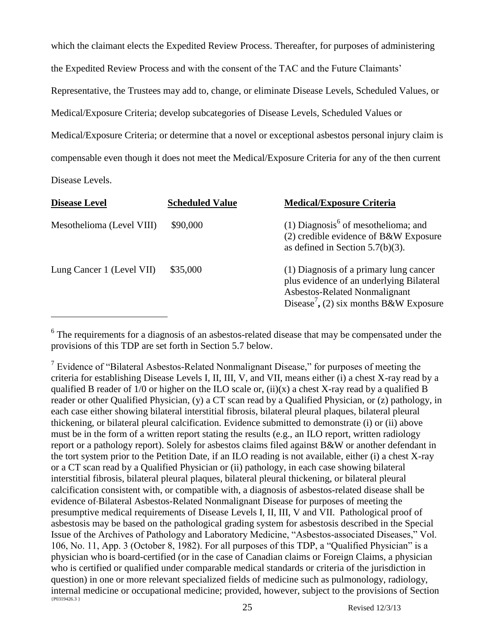which the claimant elects the Expedited Review Process. Thereafter, for purposes of administering the Expedited Review Process and with the consent of the TAC and the Future Claimants' Representative, the Trustees may add to, change, or eliminate Disease Levels, Scheduled Values, or Medical/Exposure Criteria; develop subcategories of Disease Levels, Scheduled Values or Medical/Exposure Criteria; or determine that a novel or exceptional asbestos personal injury claim is compensable even though it does not meet the Medical/Exposure Criteria for any of the then current Disease Levels.

| <b>Disease Level</b>      | <b>Scheduled Value</b> | <b>Medical/Exposure Criteria</b>                                                                                                                                          |
|---------------------------|------------------------|---------------------------------------------------------------------------------------------------------------------------------------------------------------------------|
| Mesothelioma (Level VIII) | \$90,000               | (1) Diagnosis <sup>6</sup> of mesothelioma; and<br>$(2)$ credible evidence of B&W Exposure<br>as defined in Section 5.7(b)(3).                                            |
| Lung Cancer 1 (Level VII) | \$35,000               | (1) Diagnosis of a primary lung cancer<br>plus evidence of an underlying Bilateral<br>Asbestos-Related Nonmalignant<br>Disease <sup>7</sup> , (2) six months B&W Exposure |

 $6$  The requirements for a diagnosis of an asbestos-related disease that may be compensated under the provisions of this TDP are set forth in Section 5.7 below.

{P0319426.3 } <sup>7</sup> Evidence of "Bilateral Asbestos-Related Nonmalignant Disease," for purposes of meeting the criteria for establishing Disease Levels I, II, III, V, and VII, means either (i) a chest X-ray read by a qualified B reader of  $1/0$  or higher on the ILO scale or, (ii)(x) a chest X-ray read by a qualified B reader or other Qualified Physician, (y) a CT scan read by a Qualified Physician, or (z) pathology, in each case either showing bilateral interstitial fibrosis, bilateral pleural plaques, bilateral pleural thickening, or bilateral pleural calcification. Evidence submitted to demonstrate (i) or (ii) above must be in the form of a written report stating the results (e.g., an ILO report, written radiology report or a pathology report). Solely for asbestos claims filed against B&W or another defendant in the tort system prior to the Petition Date, if an ILO reading is not available, either (i) a chest X-ray or a CT scan read by a Qualified Physician or (ii) pathology, in each case showing bilateral interstitial fibrosis, bilateral pleural plaques, bilateral pleural thickening, or bilateral pleural calcification consistent with, or compatible with, a diagnosis of asbestos-related disease shall be evidence of Bilateral Asbestos-Related Nonmalignant Disease for purposes of meeting the presumptive medical requirements of Disease Levels I, II, III, V and VII. Pathological proof of asbestosis may be based on the pathological grading system for asbestosis described in the Special Issue of the Archives of Pathology and Laboratory Medicine, "Asbestos-associated Diseases," Vol. 106, No. 11, App. 3 (October 8, 1982). For all purposes of this TDP, a "Qualified Physician" is a physician who is board-certified (or in the case of Canadian claims or Foreign Claims, a physician who is certified or qualified under comparable medical standards or criteria of the jurisdiction in question) in one or more relevant specialized fields of medicine such as pulmonology, radiology, internal medicine or occupational medicine; provided, however, subject to the provisions of Section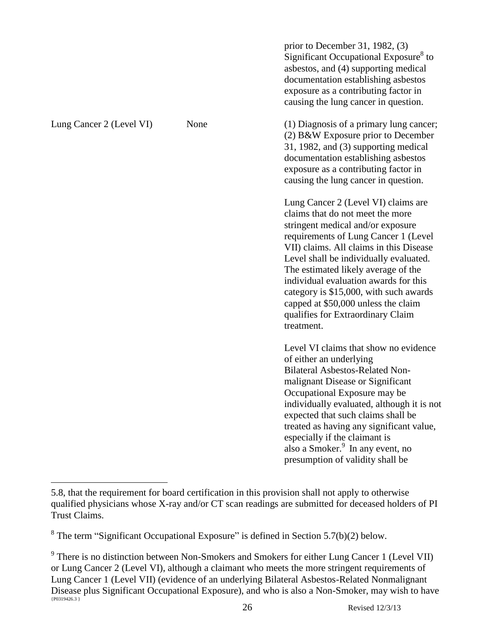prior to December 31, 1982, (3) Significant Occupational Exposure<sup>8</sup> to asbestos, and (4) supporting medical documentation establishing asbestos exposure as a contributing factor in causing the lung cancer in question. Lung Cancer 2 (Level VI) None (1) Diagnosis of a primary lung cancer; (2) B&W Exposure prior to December 31, 1982, and (3) supporting medical documentation establishing asbestos exposure as a contributing factor in causing the lung cancer in question. Lung Cancer 2 (Level VI) claims are claims that do not meet the more stringent medical and/or exposure requirements of Lung Cancer 1 (Level VII) claims. All claims in this Disease Level shall be individually evaluated. The estimated likely average of the individual evaluation awards for this category is \$15,000, with such awards capped at \$50,000 unless the claim qualifies for Extraordinary Claim treatment. Level VI claims that show no evidence of either an underlying Bilateral Asbestos-Related Nonmalignant Disease or Significant Occupational Exposure may be individually evaluated, although it is not expected that such claims shall be treated as having any significant value, especially if the claimant is also a Smoker.<sup>9</sup> In any event, no presumption of validity shall be

<sup>5.8,</sup> that the requirement for board certification in this provision shall not apply to otherwise qualified physicians whose X-ray and/or CT scan readings are submitted for deceased holders of PI Trust Claims.

 $8$  The term "Significant Occupational Exposure" is defined in Section 5.7(b)(2) below.

<sup>{</sup>P0319426.3 }  $9^9$  There is no distinction between Non-Smokers and Smokers for either Lung Cancer 1 (Level VII) or Lung Cancer 2 (Level VI), although a claimant who meets the more stringent requirements of Lung Cancer 1 (Level VII) (evidence of an underlying Bilateral Asbestos-Related Nonmalignant Disease plus Significant Occupational Exposure), and who is also a Non-Smoker, may wish to have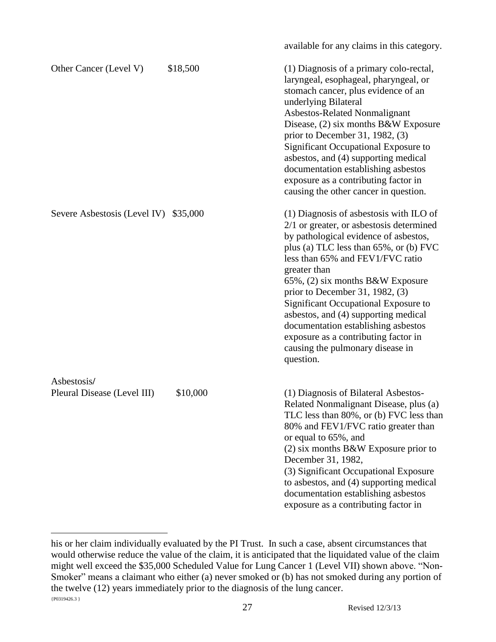|                                            |          | available for any claims in this category.                                                                                                                                                                                                                                                                                                                                                                                                                                                                                    |
|--------------------------------------------|----------|-------------------------------------------------------------------------------------------------------------------------------------------------------------------------------------------------------------------------------------------------------------------------------------------------------------------------------------------------------------------------------------------------------------------------------------------------------------------------------------------------------------------------------|
| Other Cancer (Level V)                     | \$18,500 | (1) Diagnosis of a primary colo-rectal,<br>laryngeal, esophageal, pharyngeal, or<br>stomach cancer, plus evidence of an<br>underlying Bilateral<br>Asbestos-Related Nonmalignant<br>Disease, (2) six months B&W Exposure<br>prior to December 31, 1982, $(3)$<br>Significant Occupational Exposure to<br>asbestos, and (4) supporting medical<br>documentation establishing asbestos<br>exposure as a contributing factor in<br>causing the other cancer in question.                                                         |
| Severe Asbestosis (Level IV)               | \$35,000 | $(1)$ Diagnosis of asbestosis with ILO of<br>$2/1$ or greater, or asbestosis determined<br>by pathological evidence of asbestos,<br>plus (a) TLC less than 65%, or (b) FVC<br>less than 65% and FEV1/FVC ratio<br>greater than<br>$65\%$ , $(2)$ six months B&W Exposure<br>prior to December 31, 1982, $(3)$<br>Significant Occupational Exposure to<br>asbestos, and (4) supporting medical<br>documentation establishing asbestos<br>exposure as a contributing factor in<br>causing the pulmonary disease in<br>question. |
| Asbestosis/<br>Pleural Disease (Level III) | \$10,000 | (1) Diagnosis of Bilateral Asbestos-<br>Related Nonmalignant Disease, plus (a)<br>TLC less than 80%, or (b) FVC less than<br>80% and FEV1/FVC ratio greater than<br>or equal to 65%, and<br>$(2)$ six months B&W Exposure prior to<br>December 31, 1982,<br>(3) Significant Occupational Exposure<br>to asbestos, and (4) supporting medical<br>documentation establishing asbestos<br>exposure as a contributing factor in                                                                                                   |

 ${P0319426.3}$ his or her claim individually evaluated by the PI Trust. In such a case, absent circumstances that would otherwise reduce the value of the claim, it is anticipated that the liquidated value of the claim might well exceed the \$35,000 Scheduled Value for Lung Cancer 1 (Level VII) shown above. "Non-Smoker" means a claimant who either (a) never smoked or (b) has not smoked during any portion of the twelve (12) years immediately prior to the diagnosis of the lung cancer.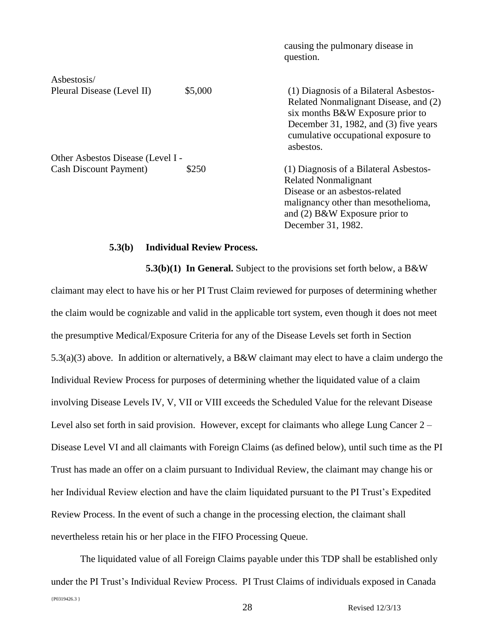|                                   |         | causing the pulmonary disease in<br>question.                                                                                                                                                                    |
|-----------------------------------|---------|------------------------------------------------------------------------------------------------------------------------------------------------------------------------------------------------------------------|
| Asbestosis/                       |         |                                                                                                                                                                                                                  |
| Pleural Disease (Level II)        | \$5,000 | (1) Diagnosis of a Bilateral Asbestos-<br>Related Nonmalignant Disease, and (2)<br>six months B&W Exposure prior to<br>December 31, 1982, and (3) five years<br>cumulative occupational exposure to<br>asbestos. |
| Other Asbestos Disease (Level I - |         |                                                                                                                                                                                                                  |
| <b>Cash Discount Payment</b> )    | \$250   | (1) Diagnosis of a Bilateral Asbestos-<br><b>Related Nonmalignant</b><br>Disease or an asbestos-related<br>malignancy other than mesothelioma,<br>and (2) $B\&W$ Exposure prior to<br>December 31, 1982.         |

# **5.3(b) Individual Review Process.**

**5.3(b)(1) In General.** Subject to the provisions set forth below, a B&W claimant may elect to have his or her PI Trust Claim reviewed for purposes of determining whether the claim would be cognizable and valid in the applicable tort system, even though it does not meet the presumptive Medical/Exposure Criteria for any of the Disease Levels set forth in Section 5.3(a)(3) above. In addition or alternatively, a B&W claimant may elect to have a claim undergo the Individual Review Process for purposes of determining whether the liquidated value of a claim involving Disease Levels IV, V, VII or VIII exceeds the Scheduled Value for the relevant Disease Level also set forth in said provision. However, except for claimants who allege Lung Cancer 2 – Disease Level VI and all claimants with Foreign Claims (as defined below), until such time as the PI Trust has made an offer on a claim pursuant to Individual Review, the claimant may change his or her Individual Review election and have the claim liquidated pursuant to the PI Trust's Expedited Review Process. In the event of such a change in the processing election, the claimant shall nevertheless retain his or her place in the FIFO Processing Queue.

{P0319426.3 } The liquidated value of all Foreign Claims payable under this TDP shall be established only under the PI Trust's Individual Review Process. PI Trust Claims of individuals exposed in Canada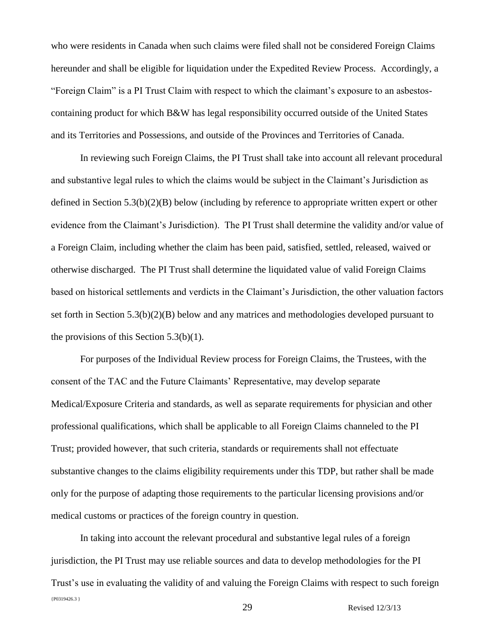who were residents in Canada when such claims were filed shall not be considered Foreign Claims hereunder and shall be eligible for liquidation under the Expedited Review Process. Accordingly, a "Foreign Claim" is a PI Trust Claim with respect to which the claimant's exposure to an asbestoscontaining product for which B&W has legal responsibility occurred outside of the United States and its Territories and Possessions, and outside of the Provinces and Territories of Canada.

In reviewing such Foreign Claims, the PI Trust shall take into account all relevant procedural and substantive legal rules to which the claims would be subject in the Claimant's Jurisdiction as defined in Section 5.3(b)(2)(B) below (including by reference to appropriate written expert or other evidence from the Claimant's Jurisdiction). The PI Trust shall determine the validity and/or value of a Foreign Claim, including whether the claim has been paid, satisfied, settled, released, waived or otherwise discharged. The PI Trust shall determine the liquidated value of valid Foreign Claims based on historical settlements and verdicts in the Claimant's Jurisdiction, the other valuation factors set forth in Section 5.3(b)(2)(B) below and any matrices and methodologies developed pursuant to the provisions of this Section  $5.3(b)(1)$ .

For purposes of the Individual Review process for Foreign Claims, the Trustees, with the consent of the TAC and the Future Claimants' Representative, may develop separate Medical/Exposure Criteria and standards, as well as separate requirements for physician and other professional qualifications, which shall be applicable to all Foreign Claims channeled to the PI Trust; provided however, that such criteria, standards or requirements shall not effectuate substantive changes to the claims eligibility requirements under this TDP, but rather shall be made only for the purpose of adapting those requirements to the particular licensing provisions and/or medical customs or practices of the foreign country in question.

{P0319426.3 } In taking into account the relevant procedural and substantive legal rules of a foreign jurisdiction, the PI Trust may use reliable sources and data to develop methodologies for the PI Trust's use in evaluating the validity of and valuing the Foreign Claims with respect to such foreign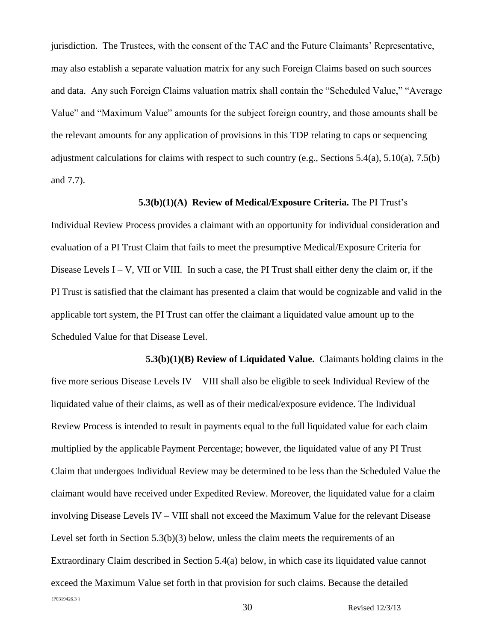jurisdiction. The Trustees, with the consent of the TAC and the Future Claimants' Representative, may also establish a separate valuation matrix for any such Foreign Claims based on such sources and data. Any such Foreign Claims valuation matrix shall contain the "Scheduled Value," "Average Value" and "Maximum Value" amounts for the subject foreign country, and those amounts shall be the relevant amounts for any application of provisions in this TDP relating to caps or sequencing adjustment calculations for claims with respect to such country (e.g., Sections  $5.4(a)$ ,  $5.10(a)$ ,  $7.5(b)$ ) and 7.7).

### **5.3(b)(1)(A) Review of Medical/Exposure Criteria.** The PI Trust's

Individual Review Process provides a claimant with an opportunity for individual consideration and evaluation of a PI Trust Claim that fails to meet the presumptive Medical/Exposure Criteria for Disease Levels  $I - V$ , VII or VIII. In such a case, the PI Trust shall either deny the claim or, if the PI Trust is satisfied that the claimant has presented a claim that would be cognizable and valid in the applicable tort system, the PI Trust can offer the claimant a liquidated value amount up to the Scheduled Value for that Disease Level.

{P0319426.3 } 30 Revised 12/3/13 **5.3(b)(1)(B) Review of Liquidated Value.** Claimants holding claims in the five more serious Disease Levels IV – VIII shall also be eligible to seek Individual Review of the liquidated value of their claims, as well as of their medical/exposure evidence. The Individual Review Process is intended to result in payments equal to the full liquidated value for each claim multiplied by the applicable Payment Percentage; however, the liquidated value of any PI Trust Claim that undergoes Individual Review may be determined to be less than the Scheduled Value the claimant would have received under Expedited Review. Moreover, the liquidated value for a claim involving Disease Levels IV – VIII shall not exceed the Maximum Value for the relevant Disease Level set forth in Section 5.3(b)(3) below, unless the claim meets the requirements of an Extraordinary Claim described in Section 5.4(a) below, in which case its liquidated value cannot exceed the Maximum Value set forth in that provision for such claims. Because the detailed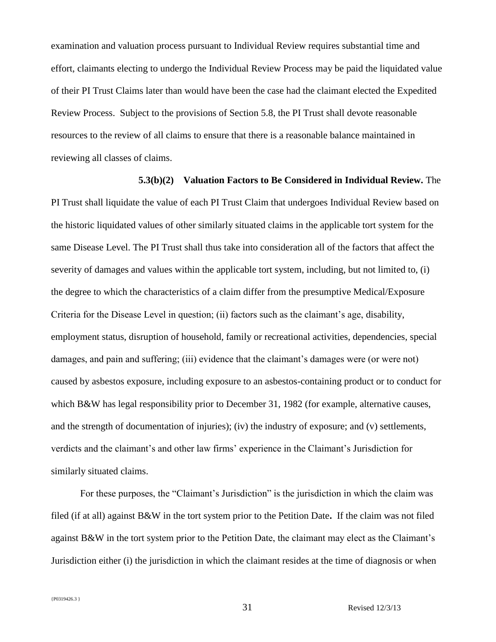examination and valuation process pursuant to Individual Review requires substantial time and effort, claimants electing to undergo the Individual Review Process may be paid the liquidated value of their PI Trust Claims later than would have been the case had the claimant elected the Expedited Review Process. Subject to the provisions of Section 5.8, the PI Trust shall devote reasonable resources to the review of all claims to ensure that there is a reasonable balance maintained in reviewing all classes of claims.

# **5.3(b)(2) Valuation Factors to Be Considered in Individual Review.** The

PI Trust shall liquidate the value of each PI Trust Claim that undergoes Individual Review based on the historic liquidated values of other similarly situated claims in the applicable tort system for the same Disease Level. The PI Trust shall thus take into consideration all of the factors that affect the severity of damages and values within the applicable tort system, including, but not limited to, (i) the degree to which the characteristics of a claim differ from the presumptive Medical/Exposure Criteria for the Disease Level in question; (ii) factors such as the claimant's age, disability, employment status, disruption of household, family or recreational activities, dependencies, special damages, and pain and suffering; (iii) evidence that the claimant's damages were (or were not) caused by asbestos exposure, including exposure to an asbestos-containing product or to conduct for which B&W has legal responsibility prior to December 31, 1982 (for example, alternative causes, and the strength of documentation of injuries); (iv) the industry of exposure; and (v) settlements, verdicts and the claimant's and other law firms' experience in the Claimant's Jurisdiction for similarly situated claims.

For these purposes, the "Claimant's Jurisdiction" is the jurisdiction in which the claim was filed (if at all) against B&W in the tort system prior to the Petition Date**.** If the claim was not filed against B&W in the tort system prior to the Petition Date, the claimant may elect as the Claimant's Jurisdiction either (i) the jurisdiction in which the claimant resides at the time of diagnosis or when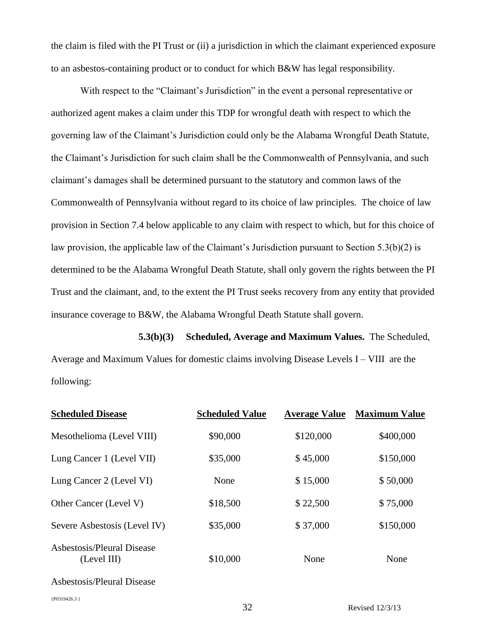the claim is filed with the PI Trust or (ii) a jurisdiction in which the claimant experienced exposure to an asbestos-containing product or to conduct for which B&W has legal responsibility.

With respect to the "Claimant's Jurisdiction" in the event a personal representative or authorized agent makes a claim under this TDP for wrongful death with respect to which the governing law of the Claimant's Jurisdiction could only be the Alabama Wrongful Death Statute, the Claimant's Jurisdiction for such claim shall be the Commonwealth of Pennsylvania, and such claimant's damages shall be determined pursuant to the statutory and common laws of the Commonwealth of Pennsylvania without regard to its choice of law principles. The choice of law provision in Section 7.4 below applicable to any claim with respect to which, but for this choice of law provision, the applicable law of the Claimant's Jurisdiction pursuant to Section 5.3(b)(2) is determined to be the Alabama Wrongful Death Statute, shall only govern the rights between the PI Trust and the claimant, and, to the extent the PI Trust seeks recovery from any entity that provided insurance coverage to B&W, the Alabama Wrongful Death Statute shall govern.

**5.3(b)(3) Scheduled, Average and Maximum Values.** The Scheduled, Average and Maximum Values for domestic claims involving Disease Levels I – VIII are the following:

| <b>Scheduled Disease</b>                  | <b>Scheduled Value</b> | <b>Average Value</b> | <b>Maximum Value</b> |
|-------------------------------------------|------------------------|----------------------|----------------------|
| Mesothelioma (Level VIII)                 | \$90,000               | \$120,000            | \$400,000            |
| Lung Cancer 1 (Level VII)                 | \$35,000               | \$45,000             | \$150,000            |
| Lung Cancer 2 (Level VI)                  | None                   | \$15,000             | \$50,000             |
| Other Cancer (Level V)                    | \$18,500               | \$22,500             | \$75,000             |
| Severe Asbestosis (Level IV)              | \$35,000               | \$37,000             | \$150,000            |
| Asbestosis/Pleural Disease<br>(Level III) | \$10,000               | None                 | None                 |
| Asbestosis/Pleural Disease                |                        |                      |                      |
| {P0319426.3}                              |                        |                      |                      |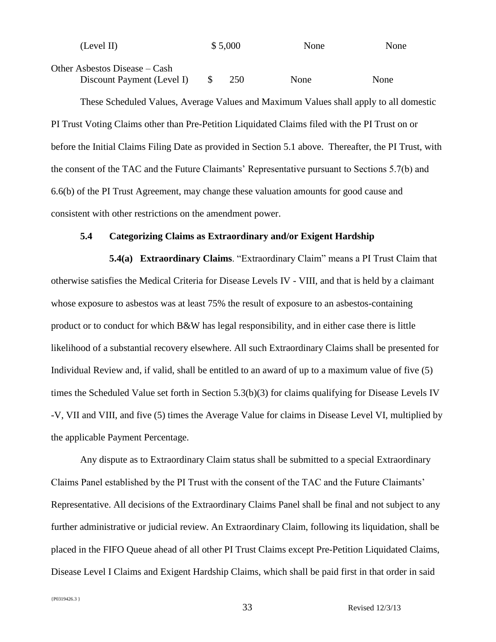| (Level II)                    | \$5,000 |     | None | None |
|-------------------------------|---------|-----|------|------|
| Other Asbestos Disease – Cash |         |     |      |      |
| Discount Payment (Level I)    |         | 250 | None | None |

These Scheduled Values, Average Values and Maximum Values shall apply to all domestic PI Trust Voting Claims other than Pre-Petition Liquidated Claims filed with the PI Trust on or before the Initial Claims Filing Date as provided in Section 5.1 above. Thereafter, the PI Trust, with the consent of the TAC and the Future Claimants' Representative pursuant to Sections 5.7(b) and 6.6(b) of the PI Trust Agreement, may change these valuation amounts for good cause and consistent with other restrictions on the amendment power.

# **5.4 Categorizing Claims as Extraordinary and/or Exigent Hardship**

**5.4(a) Extraordinary Claims**. "Extraordinary Claim" means a PI Trust Claim that otherwise satisfies the Medical Criteria for Disease Levels IV - VIII, and that is held by a claimant whose exposure to asbestos was at least 75% the result of exposure to an asbestos-containing product or to conduct for which B&W has legal responsibility, and in either case there is little likelihood of a substantial recovery elsewhere. All such Extraordinary Claims shall be presented for Individual Review and, if valid, shall be entitled to an award of up to a maximum value of five (5) times the Scheduled Value set forth in Section 5.3(b)(3) for claims qualifying for Disease Levels IV -V, VII and VIII, and five (5) times the Average Value for claims in Disease Level VI, multiplied by the applicable Payment Percentage.

Any dispute as to Extraordinary Claim status shall be submitted to a special Extraordinary Claims Panel established by the PI Trust with the consent of the TAC and the Future Claimants' Representative. All decisions of the Extraordinary Claims Panel shall be final and not subject to any further administrative or judicial review. An Extraordinary Claim, following its liquidation, shall be placed in the FIFO Queue ahead of all other PI Trust Claims except Pre-Petition Liquidated Claims, Disease Level I Claims and Exigent Hardship Claims, which shall be paid first in that order in said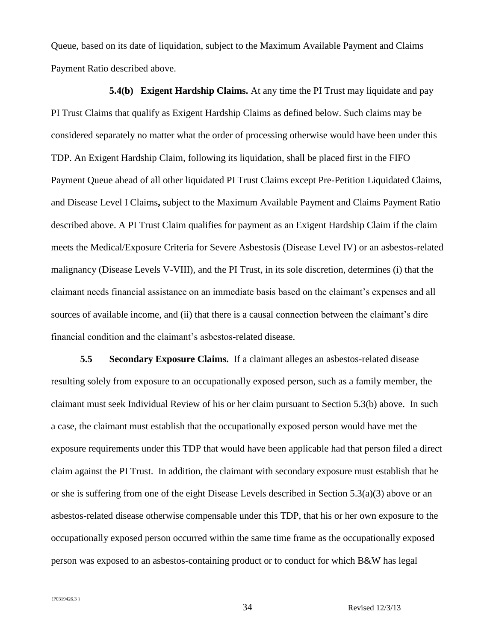Queue, based on its date of liquidation, subject to the Maximum Available Payment and Claims Payment Ratio described above.

**5.4(b) Exigent Hardship Claims.** At any time the PI Trust may liquidate and pay PI Trust Claims that qualify as Exigent Hardship Claims as defined below. Such claims may be considered separately no matter what the order of processing otherwise would have been under this TDP. An Exigent Hardship Claim, following its liquidation, shall be placed first in the FIFO Payment Queue ahead of all other liquidated PI Trust Claims except Pre-Petition Liquidated Claims, and Disease Level I Claims**,** subject to the Maximum Available Payment and Claims Payment Ratio described above. A PI Trust Claim qualifies for payment as an Exigent Hardship Claim if the claim meets the Medical/Exposure Criteria for Severe Asbestosis (Disease Level IV) or an asbestos-related malignancy (Disease Levels V-VIII), and the PI Trust, in its sole discretion, determines (i) that the claimant needs financial assistance on an immediate basis based on the claimant's expenses and all sources of available income, and (ii) that there is a causal connection between the claimant's dire financial condition and the claimant's asbestos-related disease.

**5.5 Secondary Exposure Claims.** If a claimant alleges an asbestos-related disease resulting solely from exposure to an occupationally exposed person, such as a family member, the claimant must seek Individual Review of his or her claim pursuant to Section 5.3(b) above. In such a case, the claimant must establish that the occupationally exposed person would have met the exposure requirements under this TDP that would have been applicable had that person filed a direct claim against the PI Trust. In addition, the claimant with secondary exposure must establish that he or she is suffering from one of the eight Disease Levels described in Section 5.3(a)(3) above or an asbestos-related disease otherwise compensable under this TDP, that his or her own exposure to the occupationally exposed person occurred within the same time frame as the occupationally exposed person was exposed to an asbestos-containing product or to conduct for which B&W has legal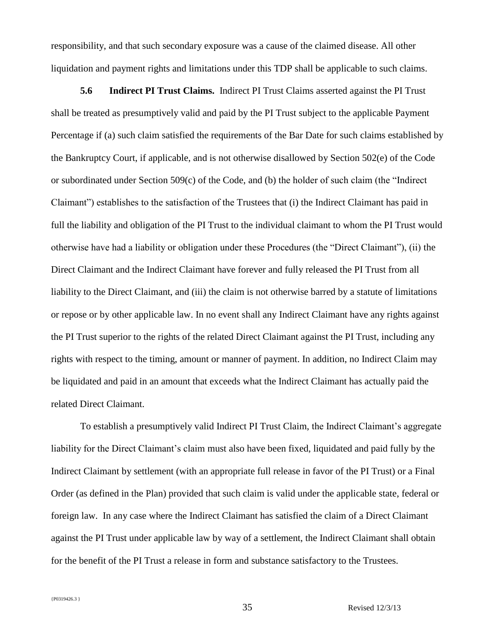responsibility, and that such secondary exposure was a cause of the claimed disease. All other liquidation and payment rights and limitations under this TDP shall be applicable to such claims.

**5.6 Indirect PI Trust Claims.** Indirect PI Trust Claims asserted against the PI Trust shall be treated as presumptively valid and paid by the PI Trust subject to the applicable Payment Percentage if (a) such claim satisfied the requirements of the Bar Date for such claims established by the Bankruptcy Court, if applicable, and is not otherwise disallowed by Section 502(e) of the Code or subordinated under Section 509(c) of the Code, and (b) the holder of such claim (the "Indirect Claimant") establishes to the satisfaction of the Trustees that (i) the Indirect Claimant has paid in full the liability and obligation of the PI Trust to the individual claimant to whom the PI Trust would otherwise have had a liability or obligation under these Procedures (the "Direct Claimant"), (ii) the Direct Claimant and the Indirect Claimant have forever and fully released the PI Trust from all liability to the Direct Claimant, and (iii) the claim is not otherwise barred by a statute of limitations or repose or by other applicable law. In no event shall any Indirect Claimant have any rights against the PI Trust superior to the rights of the related Direct Claimant against the PI Trust, including any rights with respect to the timing, amount or manner of payment. In addition, no Indirect Claim may be liquidated and paid in an amount that exceeds what the Indirect Claimant has actually paid the related Direct Claimant.

To establish a presumptively valid Indirect PI Trust Claim, the Indirect Claimant's aggregate liability for the Direct Claimant's claim must also have been fixed, liquidated and paid fully by the Indirect Claimant by settlement (with an appropriate full release in favor of the PI Trust) or a Final Order (as defined in the Plan) provided that such claim is valid under the applicable state, federal or foreign law. In any case where the Indirect Claimant has satisfied the claim of a Direct Claimant against the PI Trust under applicable law by way of a settlement, the Indirect Claimant shall obtain for the benefit of the PI Trust a release in form and substance satisfactory to the Trustees.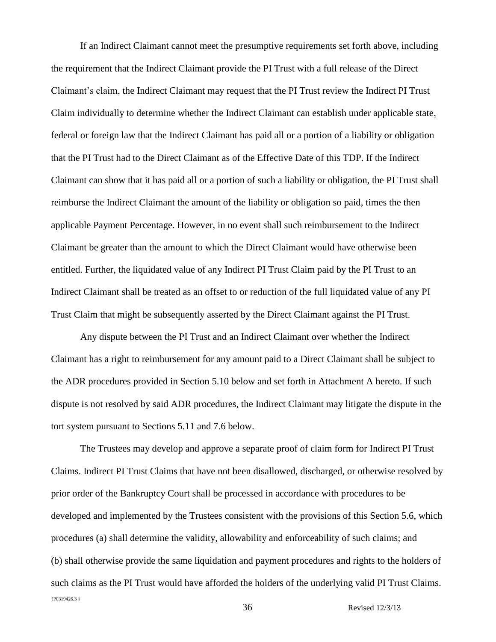If an Indirect Claimant cannot meet the presumptive requirements set forth above, including the requirement that the Indirect Claimant provide the PI Trust with a full release of the Direct Claimant's claim, the Indirect Claimant may request that the PI Trust review the Indirect PI Trust Claim individually to determine whether the Indirect Claimant can establish under applicable state, federal or foreign law that the Indirect Claimant has paid all or a portion of a liability or obligation that the PI Trust had to the Direct Claimant as of the Effective Date of this TDP. If the Indirect Claimant can show that it has paid all or a portion of such a liability or obligation, the PI Trust shall reimburse the Indirect Claimant the amount of the liability or obligation so paid, times the then applicable Payment Percentage. However, in no event shall such reimbursement to the Indirect Claimant be greater than the amount to which the Direct Claimant would have otherwise been entitled. Further, the liquidated value of any Indirect PI Trust Claim paid by the PI Trust to an Indirect Claimant shall be treated as an offset to or reduction of the full liquidated value of any PI Trust Claim that might be subsequently asserted by the Direct Claimant against the PI Trust.

Any dispute between the PI Trust and an Indirect Claimant over whether the Indirect Claimant has a right to reimbursement for any amount paid to a Direct Claimant shall be subject to the ADR procedures provided in Section 5.10 below and set forth in Attachment A hereto. If such dispute is not resolved by said ADR procedures, the Indirect Claimant may litigate the dispute in the tort system pursuant to Sections 5.11 and 7.6 below.

{P0319426.3 } The Trustees may develop and approve a separate proof of claim form for Indirect PI Trust Claims. Indirect PI Trust Claims that have not been disallowed, discharged, or otherwise resolved by prior order of the Bankruptcy Court shall be processed in accordance with procedures to be developed and implemented by the Trustees consistent with the provisions of this Section 5.6, which procedures (a) shall determine the validity, allowability and enforceability of such claims; and (b) shall otherwise provide the same liquidation and payment procedures and rights to the holders of such claims as the PI Trust would have afforded the holders of the underlying valid PI Trust Claims.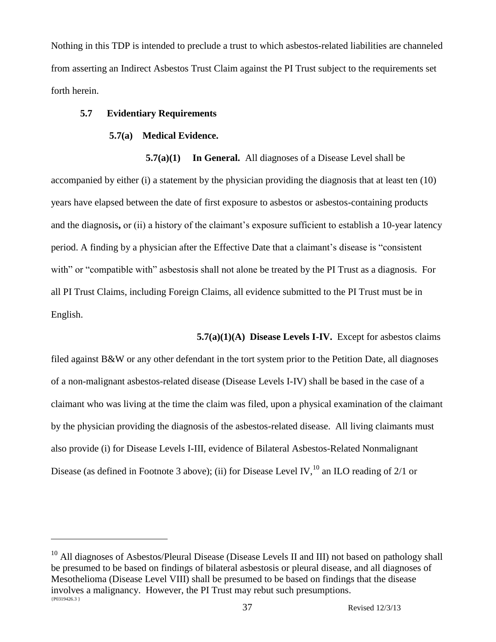Nothing in this TDP is intended to preclude a trust to which asbestos-related liabilities are channeled from asserting an Indirect Asbestos Trust Claim against the PI Trust subject to the requirements set forth herein.

### **5.7 Evidentiary Requirements**

 $\overline{a}$ 

### **5.7(a) Medical Evidence.**

**5.7(a)(1) In General.** All diagnoses of a Disease Level shall be accompanied by either (i) a statement by the physician providing the diagnosis that at least ten (10) years have elapsed between the date of first exposure to asbestos or asbestos-containing products and the diagnosis**,** or (ii) a history of the claimant's exposure sufficient to establish a 10-year latency period. A finding by a physician after the Effective Date that a claimant's disease is "consistent with" or "compatible with" asbestosis shall not alone be treated by the PI Trust as a diagnosis. For all PI Trust Claims, including Foreign Claims, all evidence submitted to the PI Trust must be in English.

**5.7(a)(1)(A) Disease Levels I-IV.** Except for asbestos claims

filed against B&W or any other defendant in the tort system prior to the Petition Date, all diagnoses of a non-malignant asbestos-related disease (Disease Levels I-IV) shall be based in the case of a claimant who was living at the time the claim was filed, upon a physical examination of the claimant by the physician providing the diagnosis of the asbestos-related disease.All living claimants must also provide (i) for Disease Levels I-III, evidence of Bilateral Asbestos-Related Nonmalignant Disease (as defined in Footnote 3 above); (ii) for Disease Level IV,<sup>10</sup> an ILO reading of 2/1 or

<sup>{</sup>P0319426.3 } <sup>10</sup> All diagnoses of Asbestos/Pleural Disease (Disease Levels II and III) not based on pathology shall be presumed to be based on findings of bilateral asbestosis or pleural disease, and all diagnoses of Mesothelioma (Disease Level VIII) shall be presumed to be based on findings that the disease involves a malignancy. However, the PI Trust may rebut such presumptions.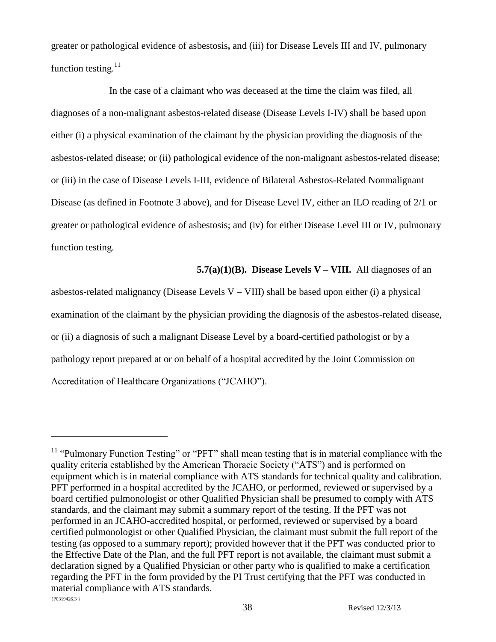greater or pathological evidence of asbestosis**,** and (iii) for Disease Levels III and IV, pulmonary function testing. $^{11}$ 

In the case of a claimant who was deceased at the time the claim was filed, all diagnoses of a non-malignant asbestos-related disease (Disease Levels I-IV) shall be based upon either (i) a physical examination of the claimant by the physician providing the diagnosis of the asbestos-related disease; or (ii) pathological evidence of the non-malignant asbestos-related disease; or (iii) in the case of Disease Levels I-III, evidence of Bilateral Asbestos-Related Nonmalignant Disease (as defined in Footnote 3 above), and for Disease Level IV, either an ILO reading of 2/1 or greater or pathological evidence of asbestosis; and (iv) for either Disease Level III or IV, pulmonary function testing.

### **5.7(a)(1)(B). Disease Levels V – VIII.** All diagnoses of an

asbestos-related malignancy (Disease Levels  $V - VIII$ ) shall be based upon either (i) a physical examination of the claimant by the physician providing the diagnosis of the asbestos-related disease, or (ii) a diagnosis of such a malignant Disease Level by a board-certified pathologist or by a pathology report prepared at or on behalf of a hospital accredited by the Joint Commission on Accreditation of Healthcare Organizations ("JCAHO").

 ${P0319426.3}$ <sup>11</sup> "Pulmonary Function Testing" or "PFT" shall mean testing that is in material compliance with the quality criteria established by the American Thoracic Society ("ATS") and is performed on equipment which is in material compliance with ATS standards for technical quality and calibration. PFT performed in a hospital accredited by the JCAHO, or performed, reviewed or supervised by a board certified pulmonologist or other Qualified Physician shall be presumed to comply with ATS standards, and the claimant may submit a summary report of the testing. If the PFT was not performed in an JCAHO-accredited hospital, or performed, reviewed or supervised by a board certified pulmonologist or other Qualified Physician, the claimant must submit the full report of the testing (as opposed to a summary report); provided however that if the PFT was conducted prior to the Effective Date of the Plan, and the full PFT report is not available, the claimant must submit a declaration signed by a Qualified Physician or other party who is qualified to make a certification regarding the PFT in the form provided by the PI Trust certifying that the PFT was conducted in material compliance with ATS standards.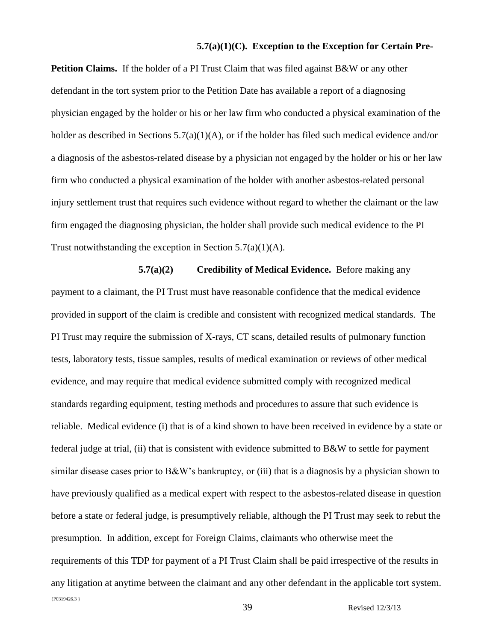### **5.7(a)(1)(C). Exception to the Exception for Certain Pre-**

**Petition Claims.** If the holder of a PI Trust Claim that was filed against B&W or any other defendant in the tort system prior to the Petition Date has available a report of a diagnosing physician engaged by the holder or his or her law firm who conducted a physical examination of the holder as described in Sections 5.7(a)(1)(A), or if the holder has filed such medical evidence and/or a diagnosis of the asbestos-related disease by a physician not engaged by the holder or his or her law firm who conducted a physical examination of the holder with another asbestos-related personal injury settlement trust that requires such evidence without regard to whether the claimant or the law firm engaged the diagnosing physician, the holder shall provide such medical evidence to the PI Trust notwithstanding the exception in Section  $5.7(a)(1)(A)$ .

### **5.7(a)(2) Credibility of Medical Evidence.** Before making any

{P0319426.3 } payment to a claimant, the PI Trust must have reasonable confidence that the medical evidence provided in support of the claim is credible and consistent with recognized medical standards. The PI Trust may require the submission of X-rays, CT scans, detailed results of pulmonary function tests, laboratory tests, tissue samples, results of medical examination or reviews of other medical evidence, and may require that medical evidence submitted comply with recognized medical standards regarding equipment, testing methods and procedures to assure that such evidence is reliable. Medical evidence (i) that is of a kind shown to have been received in evidence by a state or federal judge at trial, (ii) that is consistent with evidence submitted to B&W to settle for payment similar disease cases prior to B&W's bankruptcy, or (iii) that is a diagnosis by a physician shown to have previously qualified as a medical expert with respect to the asbestos-related disease in question before a state or federal judge, is presumptively reliable, although the PI Trust may seek to rebut the presumption. In addition, except for Foreign Claims, claimants who otherwise meet the requirements of this TDP for payment of a PI Trust Claim shall be paid irrespective of the results in any litigation at anytime between the claimant and any other defendant in the applicable tort system.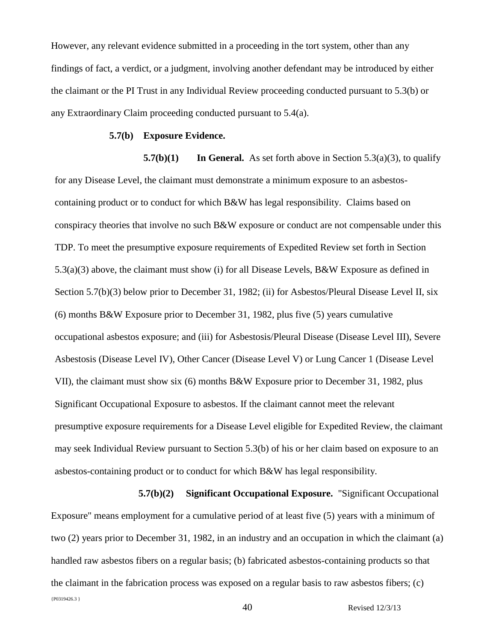However, any relevant evidence submitted in a proceeding in the tort system, other than any findings of fact, a verdict, or a judgment, involving another defendant may be introduced by either the claimant or the PI Trust in any Individual Review proceeding conducted pursuant to 5.3(b) or any Extraordinary Claim proceeding conducted pursuant to 5.4(a).

### **5.7(b) Exposure Evidence.**

 **5.7(b)(1) In General.** As set forth above in Section 5.3(a)(3), to qualify for any Disease Level, the claimant must demonstrate a minimum exposure to an asbestoscontaining product or to conduct for which B&W has legal responsibility. Claims based on conspiracy theories that involve no such  $B\&W$  exposure or conduct are not compensable under this TDP. To meet the presumptive exposure requirements of Expedited Review set forth in Section 5.3(a)(3) above, the claimant must show (i) for all Disease Levels, B&W Exposure as defined in Section 5.7(b)(3) below prior to December 31, 1982; (ii) for Asbestos/Pleural Disease Level II, six (6) months B&W Exposure prior to December 31, 1982, plus five (5) years cumulative occupational asbestos exposure; and (iii) for Asbestosis/Pleural Disease (Disease Level III), Severe Asbestosis (Disease Level IV), Other Cancer (Disease Level V) or Lung Cancer 1 (Disease Level VII), the claimant must show six (6) months B&W Exposure prior to December 31, 1982, plus Significant Occupational Exposure to asbestos. If the claimant cannot meet the relevant presumptive exposure requirements for a Disease Level eligible for Expedited Review, the claimant may seek Individual Review pursuant to Section 5.3(b) of his or her claim based on exposure to an asbestos-containing product or to conduct for which B&W has legal responsibility.

{P0319426.3 } **5.7(b)(2) Significant Occupational Exposure.** "Significant Occupational Exposure" means employment for a cumulative period of at least five (5) years with a minimum of two (2) years prior to December 31, 1982, in an industry and an occupation in which the claimant (a) handled raw asbestos fibers on a regular basis; (b) fabricated asbestos-containing products so that the claimant in the fabrication process was exposed on a regular basis to raw asbestos fibers; (c)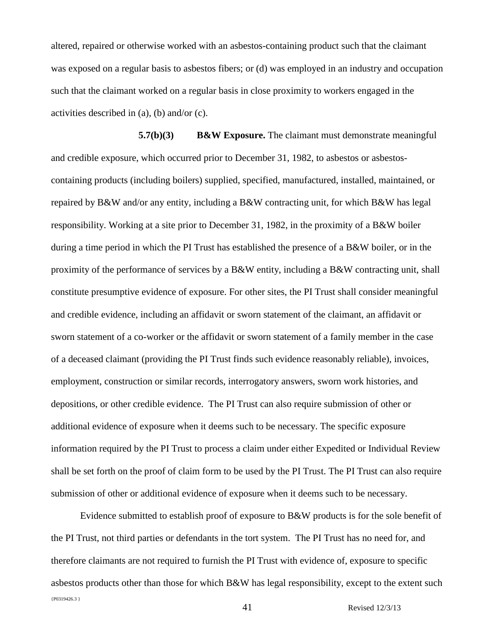altered, repaired or otherwise worked with an asbestos-containing product such that the claimant was exposed on a regular basis to asbestos fibers; or (d) was employed in an industry and occupation such that the claimant worked on a regular basis in close proximity to workers engaged in the activities described in (a), (b) and/or (c).

**5.7(b)(3) B&W Exposure.** The claimant must demonstrate meaningful and credible exposure, which occurred prior to December 31, 1982, to asbestos or asbestoscontaining products (including boilers) supplied, specified, manufactured, installed, maintained, or repaired by B&W and/or any entity, including a B&W contracting unit, for which B&W has legal responsibility. Working at a site prior to December 31, 1982, in the proximity of a B&W boiler during a time period in which the PI Trust has established the presence of a B&W boiler, or in the proximity of the performance of services by a B&W entity, including a B&W contracting unit, shall constitute presumptive evidence of exposure. For other sites, the PI Trust shall consider meaningful and credible evidence, including an affidavit or sworn statement of the claimant, an affidavit or sworn statement of a co-worker or the affidavit or sworn statement of a family member in the case of a deceased claimant (providing the PI Trust finds such evidence reasonably reliable), invoices, employment, construction or similar records, interrogatory answers, sworn work histories, and depositions, or other credible evidence. The PI Trust can also require submission of other or additional evidence of exposure when it deems such to be necessary. The specific exposure information required by the PI Trust to process a claim under either Expedited or Individual Review shall be set forth on the proof of claim form to be used by the PI Trust. The PI Trust can also require submission of other or additional evidence of exposure when it deems such to be necessary.

{P0319426.3 } 41 Revised 12/3/13 Evidence submitted to establish proof of exposure to B&W products is for the sole benefit of the PI Trust, not third parties or defendants in the tort system. The PI Trust has no need for, and therefore claimants are not required to furnish the PI Trust with evidence of, exposure to specific asbestos products other than those for which B&W has legal responsibility, except to the extent such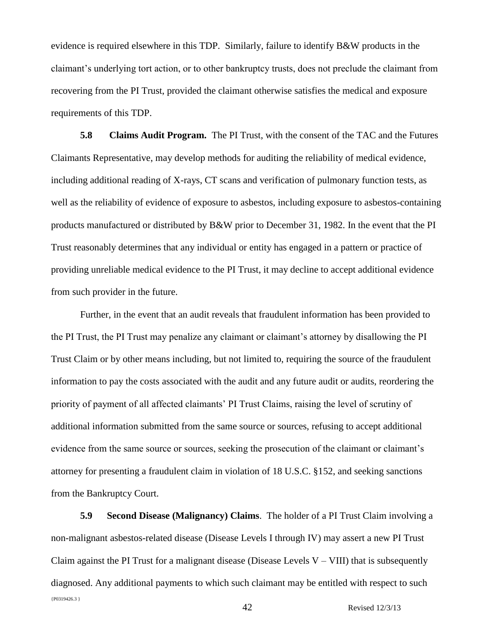evidence is required elsewhere in this TDP. Similarly, failure to identify B&W products in the claimant's underlying tort action, or to other bankruptcy trusts, does not preclude the claimant from recovering from the PI Trust, provided the claimant otherwise satisfies the medical and exposure requirements of this TDP.

**5.8 Claims Audit Program.** The PI Trust, with the consent of the TAC and the Futures Claimants Representative, may develop methods for auditing the reliability of medical evidence, including additional reading of X-rays, CT scans and verification of pulmonary function tests, as well as the reliability of evidence of exposure to asbestos, including exposure to asbestos-containing products manufactured or distributed by B&W prior to December 31, 1982. In the event that the PI Trust reasonably determines that any individual or entity has engaged in a pattern or practice of providing unreliable medical evidence to the PI Trust, it may decline to accept additional evidence from such provider in the future.

Further, in the event that an audit reveals that fraudulent information has been provided to the PI Trust, the PI Trust may penalize any claimant or claimant's attorney by disallowing the PI Trust Claim or by other means including, but not limited to, requiring the source of the fraudulent information to pay the costs associated with the audit and any future audit or audits, reordering the priority of payment of all affected claimants' PI Trust Claims, raising the level of scrutiny of additional information submitted from the same source or sources, refusing to accept additional evidence from the same source or sources, seeking the prosecution of the claimant or claimant's attorney for presenting a fraudulent claim in violation of 18 U.S.C. §152, and seeking sanctions from the Bankruptcy Court.

{P0319426.3 } **5.9 Second Disease (Malignancy) Claims**. The holder of a PI Trust Claim involving a non-malignant asbestos-related disease (Disease Levels I through IV) may assert a new PI Trust Claim against the PI Trust for a malignant disease (Disease Levels  $V - VIII$ ) that is subsequently diagnosed. Any additional payments to which such claimant may be entitled with respect to such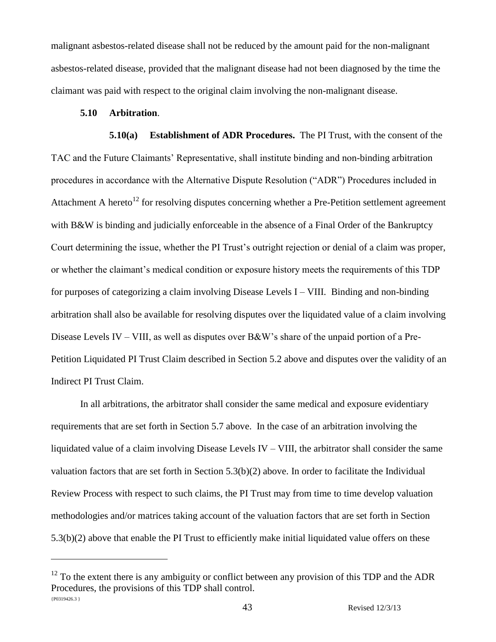malignant asbestos-related disease shall not be reduced by the amount paid for the non-malignant asbestos-related disease, provided that the malignant disease had not been diagnosed by the time the claimant was paid with respect to the original claim involving the non-malignant disease.

### **5.10 Arbitration**.

 $\overline{a}$ 

**5.10(a) Establishment of ADR Procedures.** The PI Trust, with the consent of the TAC and the Future Claimants' Representative, shall institute binding and non-binding arbitration procedures in accordance with the Alternative Dispute Resolution ("ADR") Procedures included in Attachment A hereto<sup>12</sup> for resolving disputes concerning whether a Pre-Petition settlement agreement with B&W is binding and judicially enforceable in the absence of a Final Order of the Bankruptcy Court determining the issue, whether the PI Trust's outright rejection or denial of a claim was proper, or whether the claimant's medical condition or exposure history meets the requirements of this TDP for purposes of categorizing a claim involving Disease Levels I – VIII. Binding and non-binding arbitration shall also be available for resolving disputes over the liquidated value of a claim involving Disease Levels IV – VIII, as well as disputes over B&W's share of the unpaid portion of a Pre-Petition Liquidated PI Trust Claim described in Section 5.2 above and disputes over the validity of an Indirect PI Trust Claim.

In all arbitrations, the arbitrator shall consider the same medical and exposure evidentiary requirements that are set forth in Section 5.7 above. In the case of an arbitration involving the liquidated value of a claim involving Disease Levels IV – VIII, the arbitrator shall consider the same valuation factors that are set forth in Section 5.3(b)(2) above. In order to facilitate the Individual Review Process with respect to such claims, the PI Trust may from time to time develop valuation methodologies and/or matrices taking account of the valuation factors that are set forth in Section 5.3(b)(2) above that enable the PI Trust to efficiently make initial liquidated value offers on these

<sup>{</sup>P0319426.3 }  $12$  To the extent there is any ambiguity or conflict between any provision of this TDP and the ADR Procedures, the provisions of this TDP shall control.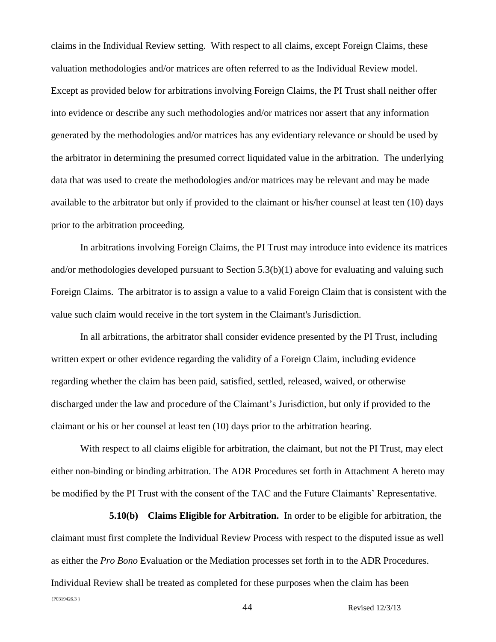claims in the Individual Review setting. With respect to all claims, except Foreign Claims, these valuation methodologies and/or matrices are often referred to as the Individual Review model. Except as provided below for arbitrations involving Foreign Claims, the PI Trust shall neither offer into evidence or describe any such methodologies and/or matrices nor assert that any information generated by the methodologies and/or matrices has any evidentiary relevance or should be used by the arbitrator in determining the presumed correct liquidated value in the arbitration. The underlying data that was used to create the methodologies and/or matrices may be relevant and may be made available to the arbitrator but only if provided to the claimant or his/her counsel at least ten (10) days prior to the arbitration proceeding.

In arbitrations involving Foreign Claims, the PI Trust may introduce into evidence its matrices and/or methodologies developed pursuant to Section 5.3(b)(1) above for evaluating and valuing such Foreign Claims. The arbitrator is to assign a value to a valid Foreign Claim that is consistent with the value such claim would receive in the tort system in the Claimant's Jurisdiction.

In all arbitrations, the arbitrator shall consider evidence presented by the PI Trust, including written expert or other evidence regarding the validity of a Foreign Claim, including evidence regarding whether the claim has been paid, satisfied, settled, released, waived, or otherwise discharged under the law and procedure of the Claimant's Jurisdiction, but only if provided to the claimant or his or her counsel at least ten (10) days prior to the arbitration hearing.

With respect to all claims eligible for arbitration, the claimant, but not the PI Trust, may elect either non-binding or binding arbitration. The ADR Procedures set forth in Attachment A hereto may be modified by the PI Trust with the consent of the TAC and the Future Claimants' Representative.

{P0319426.3 } **5.10(b) Claims Eligible for Arbitration.** In order to be eligible for arbitration, the claimant must first complete the Individual Review Process with respect to the disputed issue as well as either the *Pro Bono* Evaluation or the Mediation processes set forth in to the ADR Procedures. Individual Review shall be treated as completed for these purposes when the claim has been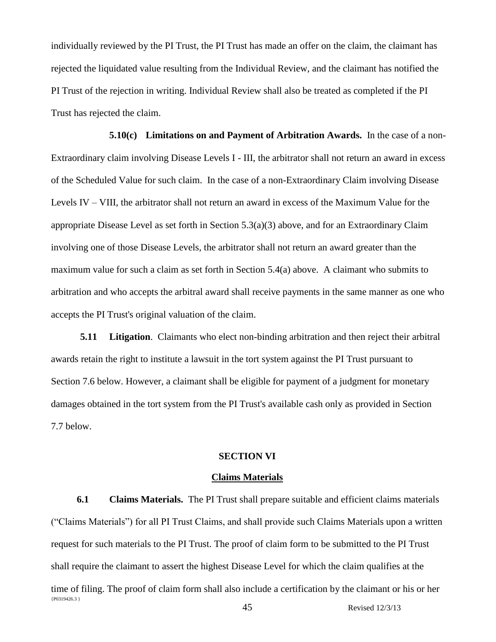individually reviewed by the PI Trust, the PI Trust has made an offer on the claim, the claimant has rejected the liquidated value resulting from the Individual Review, and the claimant has notified the PI Trust of the rejection in writing. Individual Review shall also be treated as completed if the PI Trust has rejected the claim.

**5.10(c) Limitations on and Payment of Arbitration Awards.** In the case of a non-Extraordinary claim involving Disease Levels I - III, the arbitrator shall not return an award in excess of the Scheduled Value for such claim. In the case of a non-Extraordinary Claim involving Disease Levels IV – VIII, the arbitrator shall not return an award in excess of the Maximum Value for the appropriate Disease Level as set forth in Section 5.3(a)(3) above, and for an Extraordinary Claim involving one of those Disease Levels, the arbitrator shall not return an award greater than the maximum value for such a claim as set forth in Section 5.4(a) above. A claimant who submits to arbitration and who accepts the arbitral award shall receive payments in the same manner as one who accepts the PI Trust's original valuation of the claim.

**5.11 Litigation**. Claimants who elect non-binding arbitration and then reject their arbitral awards retain the right to institute a lawsuit in the tort system against the PI Trust pursuant to Section 7.6 below. However, a claimant shall be eligible for payment of a judgment for monetary damages obtained in the tort system from the PI Trust's available cash only as provided in Section 7.7 below.

### **SECTION VI**

#### **Claims Materials**

{P0319426.3 } 45 Revised 12/3/13 **6.1 Claims Materials.** The PI Trust shall prepare suitable and efficient claims materials ("Claims Materials") for all PI Trust Claims, and shall provide such Claims Materials upon a written request for such materials to the PI Trust. The proof of claim form to be submitted to the PI Trust shall require the claimant to assert the highest Disease Level for which the claim qualifies at the time of filing. The proof of claim form shall also include a certification by the claimant or his or her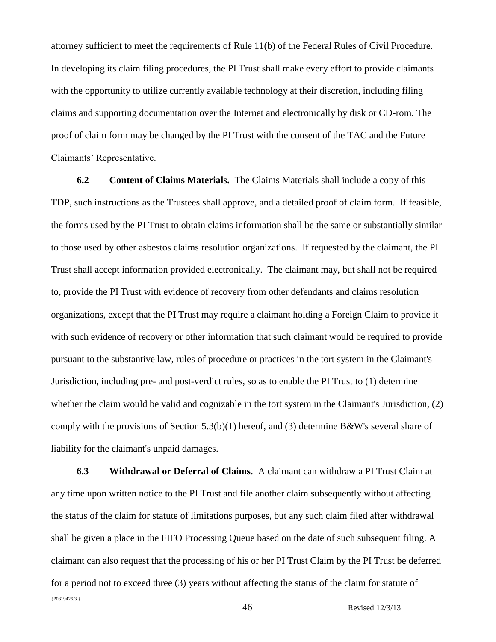attorney sufficient to meet the requirements of Rule 11(b) of the Federal Rules of Civil Procedure. In developing its claim filing procedures, the PI Trust shall make every effort to provide claimants with the opportunity to utilize currently available technology at their discretion, including filing claims and supporting documentation over the Internet and electronically by disk or CD-rom. The proof of claim form may be changed by the PI Trust with the consent of the TAC and the Future Claimants' Representative.

**6.2 Content of Claims Materials.** The Claims Materials shall include a copy of this TDP, such instructions as the Trustees shall approve, and a detailed proof of claim form. If feasible, the forms used by the PI Trust to obtain claims information shall be the same or substantially similar to those used by other asbestos claims resolution organizations. If requested by the claimant, the PI Trust shall accept information provided electronically. The claimant may, but shall not be required to, provide the PI Trust with evidence of recovery from other defendants and claims resolution organizations, except that the PI Trust may require a claimant holding a Foreign Claim to provide it with such evidence of recovery or other information that such claimant would be required to provide pursuant to the substantive law, rules of procedure or practices in the tort system in the Claimant's Jurisdiction, including pre- and post-verdict rules, so as to enable the PI Trust to (1) determine whether the claim would be valid and cognizable in the tort system in the Claimant's Jurisdiction, (2) comply with the provisions of Section 5.3(b)(1) hereof, and (3) determine B&W's several share of liability for the claimant's unpaid damages.

{P0319426.3 } 46 Revised 12/3/13 **6.3 Withdrawal or Deferral of Claims**. A claimant can withdraw a PI Trust Claim at any time upon written notice to the PI Trust and file another claim subsequently without affecting the status of the claim for statute of limitations purposes, but any such claim filed after withdrawal shall be given a place in the FIFO Processing Queue based on the date of such subsequent filing. A claimant can also request that the processing of his or her PI Trust Claim by the PI Trust be deferred for a period not to exceed three (3) years without affecting the status of the claim for statute of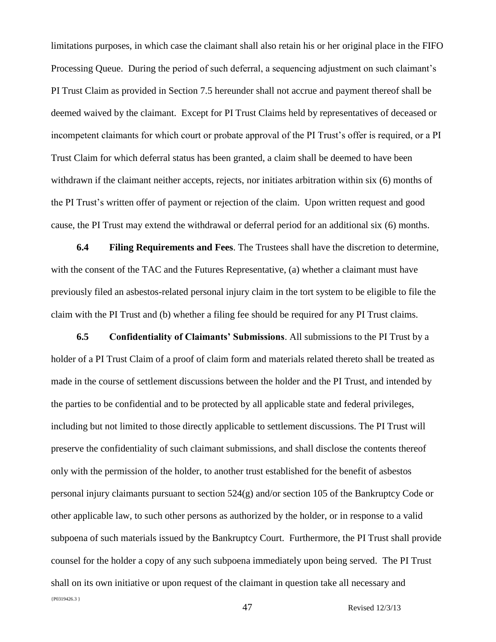limitations purposes, in which case the claimant shall also retain his or her original place in the FIFO Processing Queue. During the period of such deferral, a sequencing adjustment on such claimant's PI Trust Claim as provided in Section 7.5 hereunder shall not accrue and payment thereof shall be deemed waived by the claimant. Except for PI Trust Claims held by representatives of deceased or incompetent claimants for which court or probate approval of the PI Trust's offer is required, or a PI Trust Claim for which deferral status has been granted, a claim shall be deemed to have been withdrawn if the claimant neither accepts, rejects, nor initiates arbitration within six (6) months of the PI Trust's written offer of payment or rejection of the claim. Upon written request and good cause, the PI Trust may extend the withdrawal or deferral period for an additional six (6) months.

**6.4 Filing Requirements and Fees**. The Trustees shall have the discretion to determine, with the consent of the TAC and the Futures Representative, (a) whether a claimant must have previously filed an asbestos-related personal injury claim in the tort system to be eligible to file the claim with the PI Trust and (b) whether a filing fee should be required for any PI Trust claims.

{P0319426.3 } **6.5 Confidentiality of Claimants' Submissions**. All submissions to the PI Trust by a holder of a PI Trust Claim of a proof of claim form and materials related thereto shall be treated as made in the course of settlement discussions between the holder and the PI Trust, and intended by the parties to be confidential and to be protected by all applicable state and federal privileges, including but not limited to those directly applicable to settlement discussions. The PI Trust will preserve the confidentiality of such claimant submissions, and shall disclose the contents thereof only with the permission of the holder, to another trust established for the benefit of asbestos personal injury claimants pursuant to section 524(g) and/or section 105 of the Bankruptcy Code or other applicable law, to such other persons as authorized by the holder, or in response to a valid subpoena of such materials issued by the Bankruptcy Court. Furthermore, the PI Trust shall provide counsel for the holder a copy of any such subpoena immediately upon being served. The PI Trust shall on its own initiative or upon request of the claimant in question take all necessary and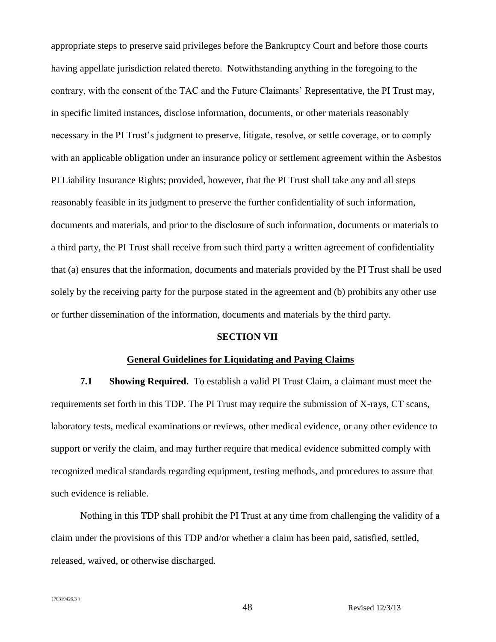appropriate steps to preserve said privileges before the Bankruptcy Court and before those courts having appellate jurisdiction related thereto. Notwithstanding anything in the foregoing to the contrary, with the consent of the TAC and the Future Claimants' Representative, the PI Trust may, in specific limited instances, disclose information, documents, or other materials reasonably necessary in the PI Trust's judgment to preserve, litigate, resolve, or settle coverage, or to comply with an applicable obligation under an insurance policy or settlement agreement within the Asbestos PI Liability Insurance Rights; provided, however, that the PI Trust shall take any and all steps reasonably feasible in its judgment to preserve the further confidentiality of such information, documents and materials, and prior to the disclosure of such information, documents or materials to a third party, the PI Trust shall receive from such third party a written agreement of confidentiality that (a) ensures that the information, documents and materials provided by the PI Trust shall be used solely by the receiving party for the purpose stated in the agreement and (b) prohibits any other use or further dissemination of the information, documents and materials by the third party.

#### **SECTION VII**

#### **General Guidelines for Liquidating and Paying Claims**

**7.1 Showing Required.** To establish a valid PI Trust Claim, a claimant must meet the requirements set forth in this TDP. The PI Trust may require the submission of X-rays, CT scans, laboratory tests, medical examinations or reviews, other medical evidence, or any other evidence to support or verify the claim, and may further require that medical evidence submitted comply with recognized medical standards regarding equipment, testing methods, and procedures to assure that such evidence is reliable.

Nothing in this TDP shall prohibit the PI Trust at any time from challenging the validity of a claim under the provisions of this TDP and/or whether a claim has been paid, satisfied, settled, released, waived, or otherwise discharged.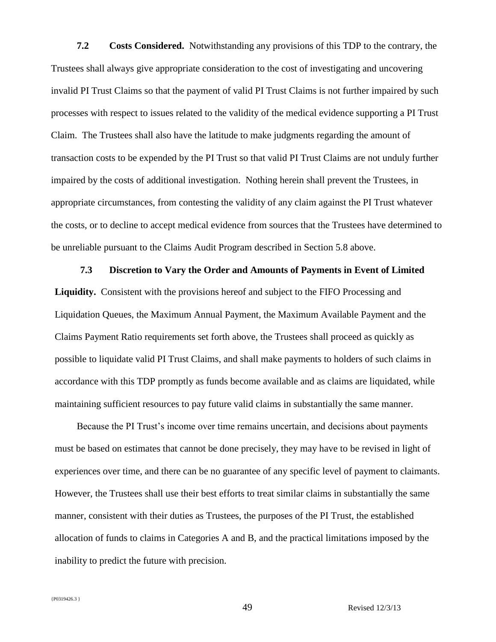**7.2 Costs Considered.** Notwithstanding any provisions of this TDP to the contrary, the Trustees shall always give appropriate consideration to the cost of investigating and uncovering invalid PI Trust Claims so that the payment of valid PI Trust Claims is not further impaired by such processes with respect to issues related to the validity of the medical evidence supporting a PI Trust Claim. The Trustees shall also have the latitude to make judgments regarding the amount of transaction costs to be expended by the PI Trust so that valid PI Trust Claims are not unduly further impaired by the costs of additional investigation. Nothing herein shall prevent the Trustees, in appropriate circumstances, from contesting the validity of any claim against the PI Trust whatever the costs, or to decline to accept medical evidence from sources that the Trustees have determined to be unreliable pursuant to the Claims Audit Program described in Section 5.8 above.

#### **7.3 Discretion to Vary the Order and Amounts of Payments in Event of Limited**

**Liquidity.** Consistent with the provisions hereof and subject to the FIFO Processing and Liquidation Queues, the Maximum Annual Payment, the Maximum Available Payment and the Claims Payment Ratio requirements set forth above, the Trustees shall proceed as quickly as possible to liquidate valid PI Trust Claims, and shall make payments to holders of such claims in accordance with this TDP promptly as funds become available and as claims are liquidated, while maintaining sufficient resources to pay future valid claims in substantially the same manner.

Because the PI Trust's income over time remains uncertain, and decisions about payments must be based on estimates that cannot be done precisely, they may have to be revised in light of experiences over time, and there can be no guarantee of any specific level of payment to claimants. However, the Trustees shall use their best efforts to treat similar claims in substantially the same manner, consistent with their duties as Trustees, the purposes of the PI Trust, the established allocation of funds to claims in Categories A and B, and the practical limitations imposed by the inability to predict the future with precision.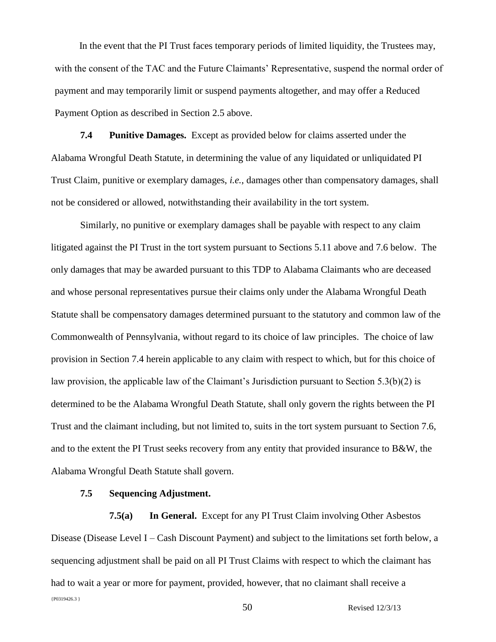In the event that the PI Trust faces temporary periods of limited liquidity, the Trustees may, with the consent of the TAC and the Future Claimants' Representative, suspend the normal order of payment and may temporarily limit or suspend payments altogether, and may offer a Reduced Payment Option as described in Section 2.5 above.

**7.4 Punitive Damages.** Except as provided below for claims asserted under the Alabama Wrongful Death Statute, in determining the value of any liquidated or unliquidated PI Trust Claim, punitive or exemplary damages, *i.e.*, damages other than compensatory damages, shall not be considered or allowed, notwithstanding their availability in the tort system.

Similarly, no punitive or exemplary damages shall be payable with respect to any claim litigated against the PI Trust in the tort system pursuant to Sections 5.11 above and 7.6 below. The only damages that may be awarded pursuant to this TDP to Alabama Claimants who are deceased and whose personal representatives pursue their claims only under the Alabama Wrongful Death Statute shall be compensatory damages determined pursuant to the statutory and common law of the Commonwealth of Pennsylvania, without regard to its choice of law principles. The choice of law provision in Section 7.4 herein applicable to any claim with respect to which, but for this choice of law provision, the applicable law of the Claimant's Jurisdiction pursuant to Section 5.3(b)(2) is determined to be the Alabama Wrongful Death Statute, shall only govern the rights between the PI Trust and the claimant including, but not limited to, suits in the tort system pursuant to Section 7.6, and to the extent the PI Trust seeks recovery from any entity that provided insurance to B&W, the Alabama Wrongful Death Statute shall govern.

### **7.5 Sequencing Adjustment.**

{P0319426.3 } 50 Revised 12/3/13 **7.5(a) In General.** Except for any PI Trust Claim involving Other Asbestos Disease (Disease Level I – Cash Discount Payment) and subject to the limitations set forth below, a sequencing adjustment shall be paid on all PI Trust Claims with respect to which the claimant has had to wait a year or more for payment, provided, however, that no claimant shall receive a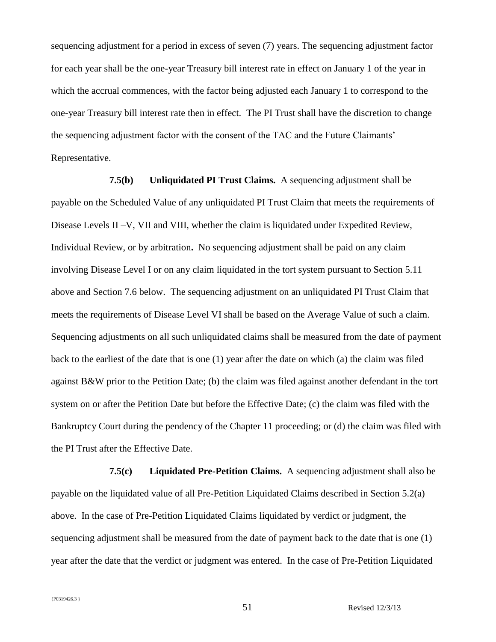sequencing adjustment for a period in excess of seven (7) years. The sequencing adjustment factor for each year shall be the one-year Treasury bill interest rate in effect on January 1 of the year in which the accrual commences, with the factor being adjusted each January 1 to correspond to the one-year Treasury bill interest rate then in effect. The PI Trust shall have the discretion to change the sequencing adjustment factor with the consent of the TAC and the Future Claimants' Representative.

**7.5(b) Unliquidated PI Trust Claims.** A sequencing adjustment shall be payable on the Scheduled Value of any unliquidated PI Trust Claim that meets the requirements of Disease Levels II –V, VII and VIII, whether the claim is liquidated under Expedited Review, Individual Review, or by arbitration**.** No sequencing adjustment shall be paid on any claim involving Disease Level I or on any claim liquidated in the tort system pursuant to Section 5.11 above and Section 7.6 below.The sequencing adjustment on an unliquidated PI Trust Claim that meets the requirements of Disease Level VI shall be based on the Average Value of such a claim. Sequencing adjustments on all such unliquidated claims shall be measured from the date of payment back to the earliest of the date that is one (1) year after the date on which (a) the claim was filed against B&W prior to the Petition Date; (b) the claim was filed against another defendant in the tort system on or after the Petition Date but before the Effective Date; (c) the claim was filed with the Bankruptcy Court during the pendency of the Chapter 11 proceeding; or (d) the claim was filed with the PI Trust after the Effective Date.

**7.5(c) Liquidated Pre-Petition Claims.** A sequencing adjustment shall also be payable on the liquidated value of all Pre-Petition Liquidated Claims described in Section 5.2(a) above. In the case of Pre-Petition Liquidated Claims liquidated by verdict or judgment, the sequencing adjustment shall be measured from the date of payment back to the date that is one (1) year after the date that the verdict or judgment was entered. In the case of Pre-Petition Liquidated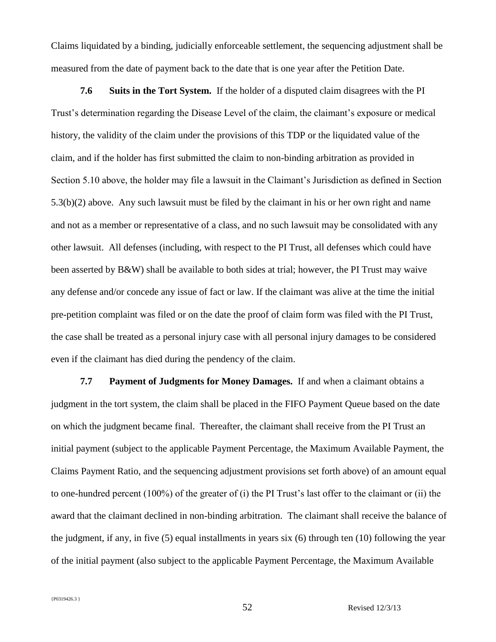Claims liquidated by a binding, judicially enforceable settlement, the sequencing adjustment shall be measured from the date of payment back to the date that is one year after the Petition Date.

**7.6 Suits in the Tort System.** If the holder of a disputed claim disagrees with the PI Trust's determination regarding the Disease Level of the claim, the claimant's exposure or medical history, the validity of the claim under the provisions of this TDP or the liquidated value of the claim, and if the holder has first submitted the claim to non-binding arbitration as provided in Section 5.10 above, the holder may file a lawsuit in the Claimant's Jurisdiction as defined in Section 5.3(b)(2) above. Any such lawsuit must be filed by the claimant in his or her own right and name and not as a member or representative of a class, and no such lawsuit may be consolidated with any other lawsuit. All defenses (including, with respect to the PI Trust, all defenses which could have been asserted by B&W) shall be available to both sides at trial; however, the PI Trust may waive any defense and/or concede any issue of fact or law. If the claimant was alive at the time the initial pre-petition complaint was filed or on the date the proof of claim form was filed with the PI Trust, the case shall be treated as a personal injury case with all personal injury damages to be considered even if the claimant has died during the pendency of the claim.

**7.7 Payment of Judgments for Money Damages.** If and when a claimant obtains a judgment in the tort system, the claim shall be placed in the FIFO Payment Queue based on the date on which the judgment became final. Thereafter, the claimant shall receive from the PI Trust an initial payment (subject to the applicable Payment Percentage, the Maximum Available Payment, the Claims Payment Ratio, and the sequencing adjustment provisions set forth above) of an amount equal to one-hundred percent (100%) of the greater of (i) the PI Trust's last offer to the claimant or (ii) the award that the claimant declined in non-binding arbitration. The claimant shall receive the balance of the judgment, if any, in five (5) equal installments in years six (6) through ten (10) following the year of the initial payment (also subject to the applicable Payment Percentage, the Maximum Available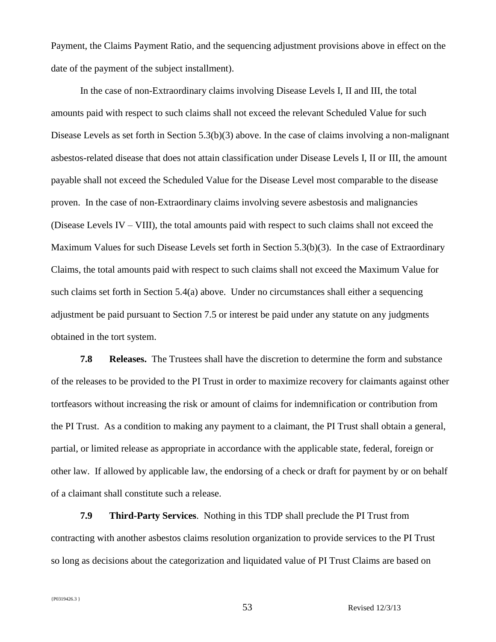Payment, the Claims Payment Ratio, and the sequencing adjustment provisions above in effect on the date of the payment of the subject installment).

In the case of non-Extraordinary claims involving Disease Levels I, II and III, the total amounts paid with respect to such claims shall not exceed the relevant Scheduled Value for such Disease Levels as set forth in Section 5.3(b)(3) above. In the case of claims involving a non-malignant asbestos-related disease that does not attain classification under Disease Levels I, II or III, the amount payable shall not exceed the Scheduled Value for the Disease Level most comparable to the disease proven.In the case of non-Extraordinary claims involving severe asbestosis and malignancies (Disease Levels IV – VIII), the total amounts paid with respect to such claims shall not exceed the Maximum Values for such Disease Levels set forth in Section 5.3(b)(3). In the case of Extraordinary Claims, the total amounts paid with respect to such claims shall not exceed the Maximum Value for such claims set forth in Section 5.4(a) above. Under no circumstances shall either a sequencing adjustment be paid pursuant to Section 7.5 or interest be paid under any statute on any judgments obtained in the tort system.

**7.8 Releases.** The Trustees shall have the discretion to determine the form and substance of the releases to be provided to the PI Trust in order to maximize recovery for claimants against other tortfeasors without increasing the risk or amount of claims for indemnification or contribution from the PI Trust. As a condition to making any payment to a claimant, the PI Trust shall obtain a general, partial, or limited release as appropriate in accordance with the applicable state, federal, foreign or other law. If allowed by applicable law, the endorsing of a check or draft for payment by or on behalf of a claimant shall constitute such a release.

**7.9 Third-Party Services**. Nothing in this TDP shall preclude the PI Trust from contracting with another asbestos claims resolution organization to provide services to the PI Trust so long as decisions about the categorization and liquidated value of PI Trust Claims are based on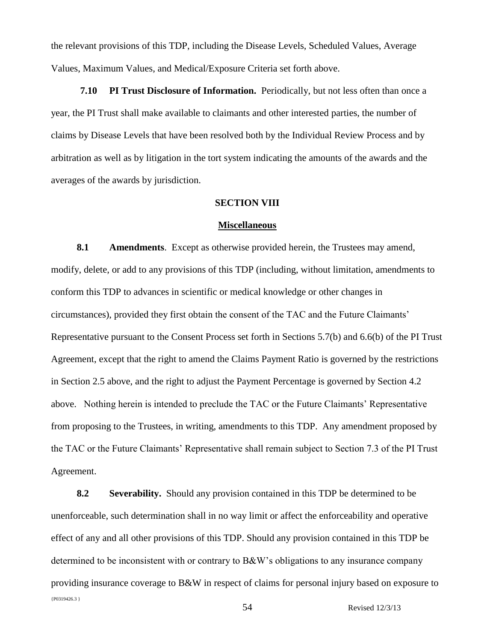the relevant provisions of this TDP, including the Disease Levels, Scheduled Values, Average Values, Maximum Values, and Medical/Exposure Criteria set forth above.

**7.10 PI Trust Disclosure of Information.** Periodically, but not less often than once a year, the PI Trust shall make available to claimants and other interested parties, the number of claims by Disease Levels that have been resolved both by the Individual Review Process and by arbitration as well as by litigation in the tort system indicating the amounts of the awards and the averages of the awards by jurisdiction.

### **SECTION VIII**

### **Miscellaneous**

**8.1 Amendments**. Except as otherwise provided herein, the Trustees may amend, modify, delete, or add to any provisions of this TDP (including, without limitation, amendments to conform this TDP to advances in scientific or medical knowledge or other changes in circumstances), provided they first obtain the consent of the TAC and the Future Claimants' Representative pursuant to the Consent Process set forth in Sections 5.7(b) and 6.6(b) of the PI Trust Agreement, except that the right to amend the Claims Payment Ratio is governed by the restrictions in Section 2.5 above, and the right to adjust the Payment Percentage is governed by Section 4.2 above. Nothing herein is intended to preclude the TAC or the Future Claimants' Representative from proposing to the Trustees, in writing, amendments to this TDP. Any amendment proposed by the TAC or the Future Claimants' Representative shall remain subject to Section 7.3 of the PI Trust Agreement.

{P0319426.3 } **8.2 Severability.** Should any provision contained in this TDP be determined to be unenforceable, such determination shall in no way limit or affect the enforceability and operative effect of any and all other provisions of this TDP. Should any provision contained in this TDP be determined to be inconsistent with or contrary to B&W's obligations to any insurance company providing insurance coverage to B&W in respect of claims for personal injury based on exposure to